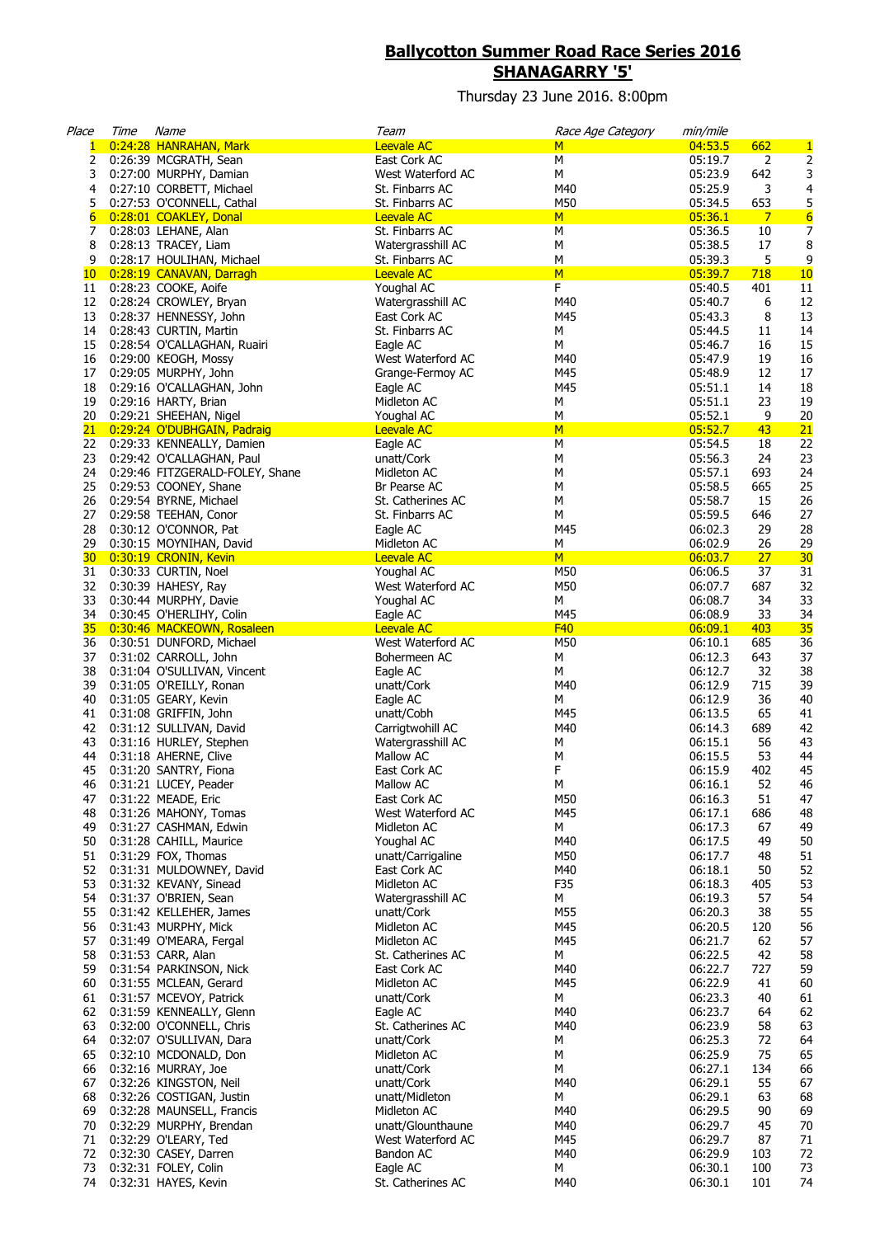## **Ballycotton Summer Road Race Series 2016 SHANAGARRY '5'**

Thursday 23 June 2016. 8:00pm

| Place           | Time | Name                                                           | Team                                 | Race Age Category | min/mile           |                |                                     |
|-----------------|------|----------------------------------------------------------------|--------------------------------------|-------------------|--------------------|----------------|-------------------------------------|
| 1               |      | 0:24:28 HANRAHAN, Mark                                         | Leevale AC                           | M                 | 04:53.5            | 662            | $\mathbf{1}$                        |
| 2               |      | 0:26:39 MCGRATH, Sean                                          | East Cork AC                         | М                 | 05:19.7            | 2              | 2                                   |
| 3               |      | 0:27:00 MURPHY, Damian                                         | West Waterford AC                    | М                 | 05:23.9            | 642            | 3                                   |
| 4               |      | 0:27:10 CORBETT, Michael                                       | St. Finbarrs AC                      | M40               | 05:25.9            | 3              | 4                                   |
| 5               |      | 0:27:53 O'CONNELL, Cathal                                      | St. Finbarrs AC                      | M50               | 05:34.5            | 653            | 5                                   |
| $6\overline{6}$ |      | 0:28:01 COAKLEY, Donal                                         | <b>Leevale AC</b>                    | M<br>М            | 05:36.1<br>05:36.5 | $\overline{7}$ | $6\overline{6}$<br>$\boldsymbol{7}$ |
| 7<br>8          |      | 0:28:03 LEHANE, Alan<br>0:28:13 TRACEY, Liam                   | St. Finbarrs AC<br>Watergrasshill AC | М                 | 05:38.5            | 10<br>17       | 8                                   |
| 9               |      | 0:28:17 HOULIHAN, Michael                                      | St. Finbarrs AC                      | М                 | 05:39.3            | 5              | $\boldsymbol{9}$                    |
| 10 <sub>1</sub> |      | 0:28:19 CANAVAN, Darragh                                       | <b>Leevale AC</b>                    | M                 | 05:39.7            | 718            | 10                                  |
| 11              |      | 0:28:23 COOKE, Aoife                                           | Youghal AC                           | F                 | 05:40.5            | 401            | 11                                  |
| 12              |      | 0:28:24 CROWLEY, Bryan                                         | Watergrasshill AC                    | M40               | 05:40.7            | 6              | 12                                  |
| 13              |      | 0:28:37 HENNESSY, John                                         | East Cork AC                         | M45               | 05:43.3            | 8              | 13                                  |
| 14              |      | 0:28:43 CURTIN, Martin                                         | St. Finbarrs AC                      | М                 | 05:44.5            | 11             | 14                                  |
| 15              |      | 0:28:54 O'CALLAGHAN, Ruairi                                    | Eagle AC                             | М                 | 05:46.7            | 16             | 15                                  |
| 16              |      | 0:29:00 KEOGH, Mossy                                           | West Waterford AC                    | M40               | 05:47.9            | 19             | 16                                  |
| 17              |      | 0:29:05 MURPHY, John                                           | Grange-Fermoy AC                     | M45               | 05:48.9            | 12             | 17                                  |
| 18              |      | 0:29:16 O'CALLAGHAN, John                                      | Eagle AC                             | M45               | 05:51.1            | 14             | 18                                  |
| 19              |      | 0:29:16 HARTY, Brian                                           | Midleton AC                          | М                 | 05:51.1            | 23             | 19                                  |
| 20              |      | 0:29:21 SHEEHAN, Nigel                                         | Youghal AC                           | М                 | 05:52.1            | 9              | 20                                  |
|                 |      | 21 0:29:24 O'DUBHGAIN, Padraig<br>22 0:29:33 KENNEALLY, Damien | <b>Leevale AC</b>                    | M<br>M            | 05:52.7<br>05:54.5 | 43             | 21                                  |
| 23              |      |                                                                | Eagle AC                             | M                 | 05:56.3            | 18<br>24       | 22<br>23                            |
| 24              |      | 0:29:42 O'CALLAGHAN, Paul<br>0:29:46 FITZGERALD-FOLEY, Shane   | unatt/Cork<br>Midleton AC            | M                 | 05:57.1            | 693            | 24                                  |
| 25              |      | 0:29:53 COONEY, Shane                                          | Br Pearse AC                         | M                 | 05:58.5            | 665            | 25                                  |
| 26              |      | 0:29:54 BYRNE, Michael                                         | St. Catherines AC                    | M                 | 05:58.7            | 15             | 26                                  |
| 27              |      | 0:29:58 TEEHAN, Conor                                          | St. Finbarrs AC                      | М                 | 05:59.5            | 646            | 27                                  |
| 28              |      | 0:30:12 O'CONNOR, Pat                                          | Eagle AC                             | M45               | 06:02.3            | 29             | 28                                  |
| 29              |      | 0:30:15 MOYNIHAN, David                                        | Midleton AC                          | М                 | 06:02.9            | 26             | 29                                  |
| 30 <sub>2</sub> |      | 0:30:19 CRONIN, Kevin                                          | <b>Leevale AC</b>                    | M                 | 06:03.7            | 27             | 30                                  |
| 31              |      | 0:30:33 CURTIN, Noel                                           | Youghal AC                           | M50               | 06:06.5            | 37             | 31                                  |
| 32              |      | 0:30:39 HAHESY, Ray                                            | West Waterford AC                    | M50               | 06:07.7            | 687            | 32                                  |
| 33              |      | 0:30:44 MURPHY, Davie                                          | Youghal AC                           | М                 | 06:08.7            | 34             | 33                                  |
| 34              |      | 0:30:45 O'HERLIHY, Colin                                       | Eagle AC                             | M45               | 06:08.9            | 33             | 34                                  |
| 35              |      | 0:30:46 MACKEOWN, Rosaleen                                     | <b>Leevale AC</b>                    | F40               | 06:09.1            | 403            | 35                                  |
| 36              |      | 0:30:51 DUNFORD, Michael                                       | West Waterford AC                    | M50               | 06:10.1<br>06:12.3 | 685<br>643     | 36<br>37                            |
| 37<br>38        |      | 0:31:02 CARROLL, John<br>0:31:04 O'SULLIVAN, Vincent           | Bohermeen AC<br>Eagle AC             | М<br>М            | 06:12.7            | 32             | 38                                  |
| 39              |      | 0:31:05 O'REILLY, Ronan                                        | unatt/Cork                           | M40               | 06:12.9            | 715            | 39                                  |
| 40              |      | 0:31:05 GEARY, Kevin                                           | Eagle AC                             | М                 | 06:12.9            | 36             | 40                                  |
| 41              |      | 0:31:08 GRIFFIN, John                                          | unatt/Cobh                           | M45               | 06:13.5            | 65             | 41                                  |
| 42              |      | 0:31:12 SULLIVAN, David                                        | Carrigtwohill AC                     | M40               | 06:14.3            | 689            | 42                                  |
| 43              |      | 0:31:16 HURLEY, Stephen                                        | Watergrasshill AC                    | М                 | 06:15.1            | 56             | 43                                  |
| 44              |      | 0:31:18 AHERNE, Clive                                          | Mallow AC                            | М                 | 06:15.5            | 53             | 44                                  |
| 45              |      | 0:31:20 SANTRY, Fiona                                          | East Cork AC                         | F                 | 06:15.9            | 402            | 45                                  |
| 46              |      | 0:31:21 LUCEY, Peader                                          | Mallow AC                            | M                 | 06:16.1            | 52             | 46                                  |
| 47              |      | 0:31:22 MEADE, Eric                                            | East Cork AC                         | M50               | 06:16.3            | 51             | 47                                  |
| 48              |      | 0:31:26 MAHONY, Tomas                                          | West Waterford AC                    | M45               | 06:17.1            | 686            | 48                                  |
| 49              |      | 0:31:27 CASHMAN, Edwin                                         | Midleton AC                          | М                 | 06:17.3            | 67             | 49                                  |
| 50<br>51        |      | 0:31:28 CAHILL, Maurice<br>0:31:29 FOX, Thomas                 | Youghal AC<br>unatt/Carrigaline      | M40<br>M50        | 06:17.5<br>06:17.7 | 49<br>48       | 50<br>51                            |
| 52              |      | 0:31:31 MULDOWNEY, David                                       | East Cork AC                         | M40               | 06:18.1            | 50             | 52                                  |
| 53              |      | 0:31:32 KEVANY, Sinead                                         | Midleton AC                          | F35               | 06:18.3            | 405            | 53                                  |
| 54              |      | 0:31:37 O'BRIEN, Sean                                          | Watergrasshill AC                    | М                 | 06:19.3            | 57             | 54                                  |
| 55              |      | 0:31:42 KELLEHER, James                                        | unatt/Cork                           | M55               | 06:20.3            | 38             | 55                                  |
| 56              |      | 0:31:43 MURPHY, Mick                                           | Midleton AC                          | M45               | 06:20.5            | 120            | 56                                  |
| 57              |      | 0:31:49 O'MEARA, Fergal                                        | Midleton AC                          | M45               | 06:21.7            | 62             | 57                                  |
| 58              |      | 0:31:53 CARR, Alan                                             | St. Catherines AC                    | М                 | 06:22.5            | 42             | 58                                  |
| 59              |      | 0:31:54 PARKINSON, Nick                                        | East Cork AC                         | M40               | 06:22.7            | 727            | 59                                  |
| 60              |      | 0:31:55 MCLEAN, Gerard                                         | Midleton AC                          | M45               | 06:22.9            | 41             | 60                                  |
| 61              |      | 0:31:57 MCEVOY, Patrick                                        | unatt/Cork                           | М                 | 06:23.3            | 40             | 61                                  |
| 62              |      | 0:31:59 KENNEALLY, Glenn                                       | Eagle AC                             | M40               | 06:23.7            | 64             | 62                                  |
| 63              |      | 0:32:00 O'CONNELL, Chris                                       | St. Catherines AC                    | M40               | 06:23.9            | 58             | 63                                  |
| 64              |      | 0:32:07 O'SULLIVAN, Dara                                       | unatt/Cork                           | М                 | 06:25.3            | 72<br>75       | 64                                  |
| 65<br>66        |      | 0:32:10 MCDONALD, Don<br>0:32:16 MURRAY, Joe                   | Midleton AC<br>unatt/Cork            | М<br>М            | 06:25.9<br>06:27.1 | 134            | 65<br>66                            |
| 67              |      | 0:32:26 KINGSTON, Neil                                         | unatt/Cork                           | M40               | 06:29.1            | 55             | 67                                  |
| 68              |      | 0:32:26 COSTIGAN, Justin                                       | unatt/Midleton                       | М                 | 06:29.1            | 63             | 68                                  |
| 69              |      | 0:32:28 MAUNSELL, Francis                                      | Midleton AC                          | M40               | 06:29.5            | 90             | 69                                  |
| 70              |      | 0:32:29 MURPHY, Brendan                                        | unatt/Glounthaune                    | M40               | 06:29.7            | 45             | 70                                  |
| 71              |      | 0:32:29 O'LEARY, Ted                                           | West Waterford AC                    | M45               | 06:29.7            | 87             | 71                                  |
| 72              |      | 0:32:30 CASEY, Darren                                          | Bandon AC                            | M40               | 06:29.9            | 103            | 72                                  |
| 73              |      | 0:32:31 FOLEY, Colin                                           | Eagle AC                             | М                 | 06:30.1            | 100            | 73                                  |
| 74              |      | 0:32:31 HAYES, Kevin                                           | St. Catherines AC                    | M40               | 06:30.1            | 101            | 74                                  |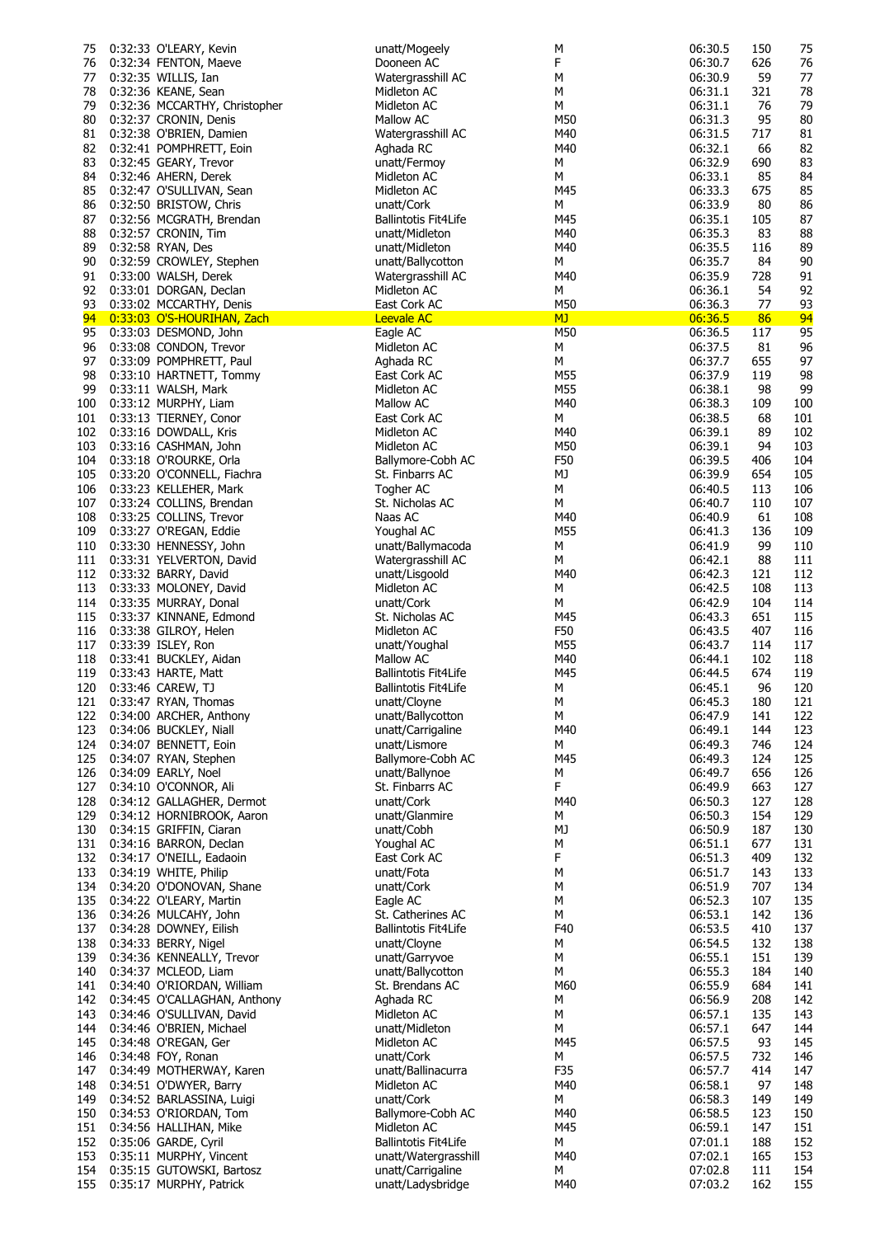| 75         | 0:32:33 O'LEARY, Kevin                                    | unatt/Mogeely                             | М          | 06:30.5            | 150        | 75         |
|------------|-----------------------------------------------------------|-------------------------------------------|------------|--------------------|------------|------------|
| 76         | 0:32:34 FENTON, Maeve                                     | Dooneen AC                                | F          | 06:30.7            | 626        | 76         |
| 77         | 0:32:35 WILLIS, Ian                                       | Watergrasshill AC                         | М          | 06:30.9            | 59         | 77         |
| 78         | 0:32:36 KEANE, Sean                                       | Midleton AC                               | М          | 06:31.1            | 321        | 78         |
| 79<br>80   | 0:32:36 MCCARTHY, Christopher<br>0:32:37 CRONIN, Denis    | Midleton AC<br>Mallow AC                  | М<br>M50   | 06:31.1<br>06:31.3 | 76<br>95   | 79<br>80   |
| 81         | 0:32:38 O'BRIEN, Damien                                   | Watergrasshill AC                         | M40        | 06:31.5            | 717        | 81         |
| 82         | 0:32:41 POMPHRETT, Eoin                                   | Aghada RC                                 | M40        | 06:32.1            | 66         | 82         |
| 83         | 0:32:45 GEARY, Trevor                                     | unatt/Fermoy                              | М          | 06:32.9            | 690        | 83         |
| 84         | 0:32:46 AHERN, Derek                                      | Midleton AC                               | М          | 06:33.1            | 85         | 84         |
| 85         | 0:32:47 O'SULLIVAN, Sean                                  | Midleton AC                               | M45        | 06:33.3            | 675        | 85         |
| 86         | 0:32:50 BRISTOW, Chris                                    | unatt/Cork                                | М          | 06:33.9            | 80         | 86         |
| 87         | 0:32:56 MCGRATH, Brendan                                  | <b>Ballintotis Fit4Life</b>               | M45        | 06:35.1            | 105        | 87         |
| 88         | 0:32:57 CRONIN, Tim                                       | unatt/Midleton                            | M40        | 06:35.3            | 83         | 88         |
| 89         | 0:32:58 RYAN, Des                                         | unatt/Midleton                            | M40        | 06:35.5            | 116        | 89         |
| 90         | 0:32:59 CROWLEY, Stephen                                  | unatt/Ballycotton                         | M          | 06:35.7            | 84         | 90         |
| 91<br>92   | 0:33:00 WALSH, Derek                                      | Watergrasshill AC<br>Midleton AC          | M40        | 06:35.9<br>06:36.1 | 728<br>54  | 91<br>92   |
| 93         | 0:33:01 DORGAN, Declan<br>0:33:02 MCCARTHY, Denis         | East Cork AC                              | М<br>M50   | 06:36.3            | 77         | 93         |
| 94         | 0:33:03 O'S-HOURIHAN, Zach                                | <b>Leevale AC</b>                         | <b>MJ</b>  | 06:36.5            | 86         | 94         |
| 95         | 0:33:03 DESMOND, John                                     | Eagle AC                                  | M50        | 06:36.5            | 117        | 95         |
| 96         | 0:33:08 CONDON, Trevor                                    | Midleton AC                               | М          | 06:37.5            | 81         | 96         |
| 97         | 0:33:09 POMPHRETT, Paul                                   | Aghada RC                                 | М          | 06:37.7            | 655        | 97         |
| 98         | 0:33:10 HARTNETT, Tommy                                   | East Cork AC                              | M55        | 06:37.9            | 119        | 98         |
| 99         | 0:33:11 WALSH, Mark                                       | Midleton AC                               | M55        | 06:38.1            | 98         | 99         |
| 100        | 0:33:12 MURPHY, Liam                                      | Mallow AC                                 | M40        | 06:38.3            | 109        | 100        |
| 101        | 0:33:13 TIERNEY, Conor                                    | East Cork AC                              | М          | 06:38.5            | 68         | 101        |
| 102        | 0:33:16 DOWDALL, Kris                                     | Midleton AC                               | M40        | 06:39.1            | 89         | 102        |
| 103<br>104 | 0:33:16 CASHMAN, John<br>0:33:18 O'ROURKE, Orla           | Midleton AC                               | M50<br>F50 | 06:39.1<br>06:39.5 | 94<br>406  | 103<br>104 |
| 105        | 0:33:20 O'CONNELL, Fiachra                                | Ballymore-Cobh AC<br>St. Finbarrs AC      | MJ         | 06:39.9            | 654        | 105        |
| 106        | 0:33:23 KELLEHER, Mark                                    | Togher AC                                 | М          | 06:40.5            | 113        | 106        |
| 107        | 0:33:24 COLLINS, Brendan                                  | St. Nicholas AC                           | М          | 06:40.7            | 110        | 107        |
| 108        | 0:33:25 COLLINS, Trevor                                   | Naas AC                                   | M40        | 06:40.9            | 61         | 108        |
| 109        | 0:33:27 O'REGAN, Eddie                                    | Youghal AC                                | M55        | 06:41.3            | 136        | 109        |
| 110        | 0:33:30 HENNESSY, John                                    | unatt/Ballymacoda                         | М          | 06:41.9            | 99         | 110        |
| 111        | 0:33:31 YELVERTON, David                                  | Watergrasshill AC                         | М          | 06:42.1            | 88         | 111        |
| 112        | 0:33:32 BARRY, David                                      | unatt/Lisgoold                            | M40        | 06:42.3            | 121        | 112        |
| 113        | 0:33:33 MOLONEY, David                                    | Midleton AC                               | М          | 06:42.5            | 108        | 113        |
|            | 114 0:33:35 MURRAY, Donal                                 | unatt/Cork                                | М          | 06:42.9            | 104        | 114        |
| 115        | 0:33:37 KINNANE, Edmond                                   | St. Nicholas AC                           | M45        | 06:43.3            | 651        | 115        |
| 116        | 0:33:38 GILROY, Helen                                     | Midleton AC                               | F50        | 06:43.5            | 407        | 116        |
| 117<br>118 | 0:33:39 ISLEY, Ron<br>0:33:41 BUCKLEY, Aidan              | unatt/Youghal<br>Mallow AC                | M55<br>M40 | 06:43.7<br>06:44.1 | 114<br>102 | 117<br>118 |
| 119        | 0:33:43 HARTE, Matt                                       | Ballintotis Fit4Life                      | M45        | 06:44.5            | 674        | 119        |
| 120        | 0:33:46 CAREW, TJ                                         | <b>Ballintotis Fit4Life</b>               | М          | 06:45.1            | 96         | 120        |
|            | 121 0:33:47 RYAN, Thomas                                  | unatt/Cloyne                              | ${\sf M}$  | 06:45.3            | 180        | 121        |
| 122        | 0:34:00 ARCHER, Anthony                                   | unatt/Ballycotton                         | М          | 06:47.9            | 141        | 122        |
| 123        | 0:34:06 BUCKLEY, Niall                                    | unatt/Carrigaline                         | M40        | 06:49.1            | 144        | 123        |
| 124        | 0:34:07 BENNETT, Eoin                                     | unatt/Lismore                             | М          | 06:49.3            | 746        | 124        |
| 125        | 0:34:07 RYAN, Stephen                                     | Ballymore-Cobh AC                         | M45        | 06:49.3            | 124        | 125        |
| 126        | 0:34:09 EARLY, Noel                                       | unatt/Ballynoe                            | М          | 06:49.7            | 656        | 126        |
| 127        | 0:34:10 O'CONNOR, Ali                                     | St. Finbarrs AC                           | F.         | 06:49.9            | 663        | 127        |
| 128        | 0:34:12 GALLAGHER, Dermot                                 | unatt/Cork                                | M40        | 06:50.3            | 127        | 128        |
| 129<br>130 | 0:34:12 HORNIBROOK, Aaron<br>0:34:15 GRIFFIN, Ciaran      | unatt/Glanmire<br>unatt/Cobh              | М<br>MJ    | 06:50.3<br>06:50.9 | 154<br>187 | 129<br>130 |
| 131        | 0:34:16 BARRON, Declan                                    | Youghal AC                                | М          | 06:51.1            | 677        | 131        |
| 132        | 0:34:17 O'NEILL, Eadaoin                                  | East Cork AC                              | F          | 06:51.3            | 409        | 132        |
| 133        | 0:34:19 WHITE, Philip                                     | unatt/Fota                                | М          | 06:51.7            | 143        | 133        |
| 134        | 0:34:20 O'DONOVAN, Shane                                  | unatt/Cork                                | М          | 06:51.9            | 707        | 134        |
| 135        | 0:34:22 O'LEARY, Martin                                   | Eagle AC                                  | М          | 06:52.3            | 107        | 135        |
| 136        | 0:34:26 MULCAHY, John                                     | St. Catherines AC                         | М          | 06:53.1            | 142        | 136        |
| 137        | 0:34:28 DOWNEY, Eilish                                    | <b>Ballintotis Fit4Life</b>               | F40        | 06:53.5            | 410        | 137        |
| 138        | 0:34:33 BERRY, Nigel                                      | unatt/Cloyne                              | М          | 06:54.5            | 132        | 138        |
| 139        | 0:34:36 KENNEALLY, Trevor                                 | unatt/Garryvoe                            | М          | 06:55.1            | 151        | 139        |
| 140        | 0:34:37 MCLEOD, Liam                                      | unatt/Ballycotton                         | М          | 06:55.3            | 184        | 140        |
| 141        | 0:34:40 O'RIORDAN, William                                | St. Brendans AC                           | M60        | 06:55.9            | 684        | 141        |
| 142<br>143 | 0:34:45 O'CALLAGHAN, Anthony<br>0:34:46 O'SULLIVAN, David | Aghada RC<br>Midleton AC                  | М<br>М     | 06:56.9<br>06:57.1 | 208<br>135 | 142<br>143 |
| 144        | 0:34:46 O'BRIEN, Michael                                  | unatt/Midleton                            | М          | 06:57.1            | 647        | 144        |
| 145        | 0:34:48 O'REGAN, Ger                                      | Midleton AC                               | M45        | 06:57.5            | 93         | 145        |
| 146        | 0:34:48 FOY, Ronan                                        | unatt/Cork                                | М          | 06:57.5            | 732        | 146        |
| 147        | 0:34:49 MOTHERWAY, Karen                                  | unatt/Ballinacurra                        | F35        | 06:57.7            | 414        | 147        |
| 148        | 0:34:51 O'DWYER, Barry                                    | Midleton AC                               | M40        | 06:58.1            | 97         | 148        |
| 149        | 0:34:52 BARLASSINA, Luigi                                 | unatt/Cork                                | М          | 06:58.3            | 149        | 149        |
| 150        | 0:34:53 O'RIORDAN, Tom                                    | Ballymore-Cobh AC                         | M40        | 06:58.5            | 123        | 150        |
| 151        | 0:34:56 HALLIHAN, Mike                                    | Midleton AC                               | M45        | 06:59.1            | 147        | 151        |
| 152        | 0:35:06 GARDE, Cyril                                      | <b>Ballintotis Fit4Life</b>               | М          | 07:01.1<br>07:02.1 | 188        | 152        |
| 153<br>154 | 0:35:11 MURPHY, Vincent<br>0:35:15 GUTOWSKI, Bartosz      | unatt/Watergrasshill<br>unatt/Carrigaline | M40<br>М   | 07:02.8            | 165<br>111 | 153<br>154 |
| 155        | 0:35:17 MURPHY, Patrick                                   | unatt/Ladysbridge                         | M40        | 07:03.2            | 162        | 155        |
|            |                                                           |                                           |            |                    |            |            |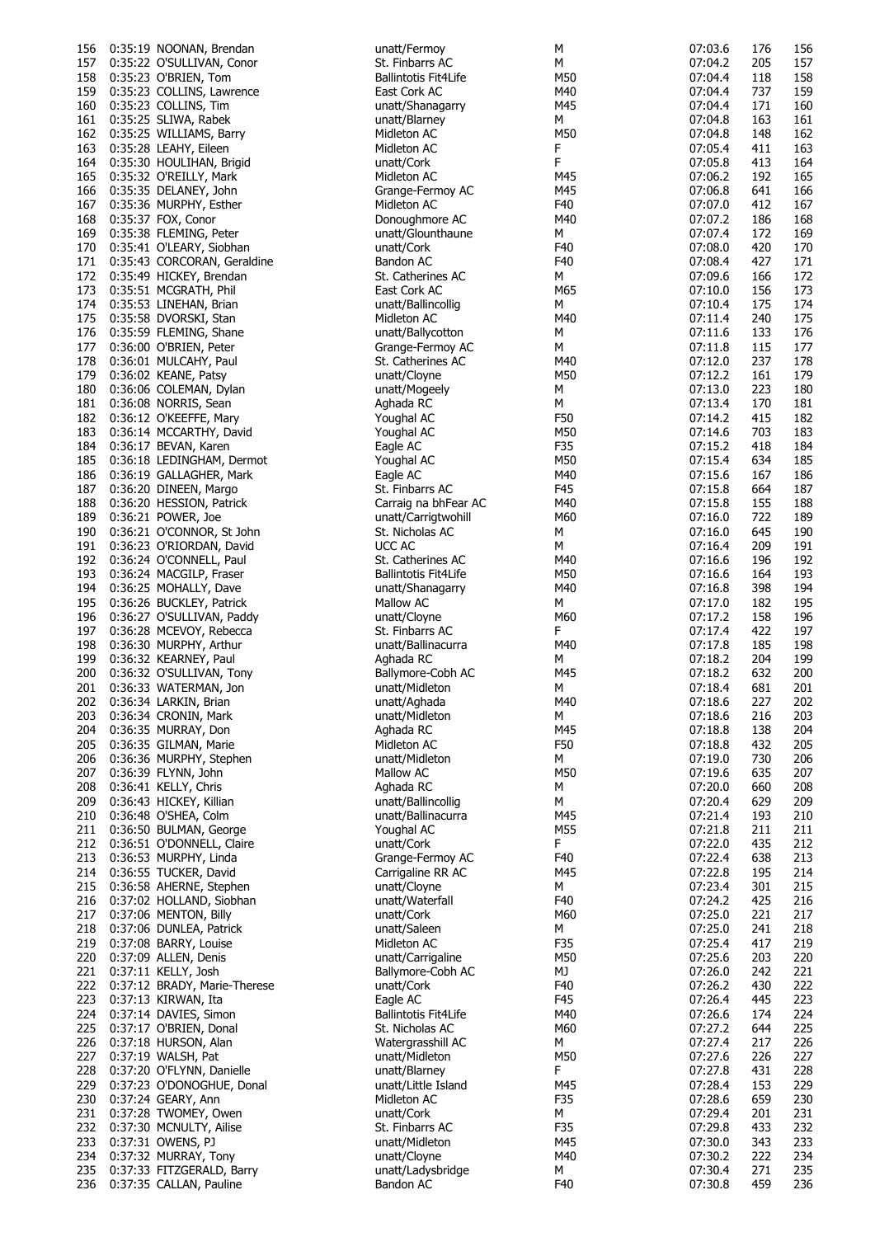| 156 | 0:35:19 NOONAN, Brendan         | unatt/Fermoy                | М   | 07:03.6 | 176 | 156 |
|-----|---------------------------------|-----------------------------|-----|---------|-----|-----|
| 157 | 0:35:22 O'SULLIVAN, Conor       | St. Finbarrs AC             | М   | 07:04.2 | 205 | 157 |
|     |                                 |                             |     |         |     |     |
| 158 | 0:35:23 O'BRIEN, Tom            | Ballintotis Fit4Life        | M50 | 07:04.4 | 118 | 158 |
| 159 | 0:35:23 COLLINS, Lawrence       | East Cork AC                | M40 | 07:04.4 | 737 | 159 |
| 160 | 0:35:23 COLLINS, Tim            | unatt/Shanagarry            | M45 | 07:04.4 | 171 | 160 |
| 161 | 0:35:25 SLIWA, Rabek            | unatt/Blarney               | М   | 07:04.8 | 163 | 161 |
| 162 | 0:35:25 WILLIAMS, Barry         | Midleton AC                 | M50 | 07:04.8 | 148 | 162 |
|     |                                 |                             |     |         |     |     |
| 163 | 0:35:28 LEAHY, Eileen           | Midleton AC                 | F   | 07:05.4 | 411 | 163 |
| 164 | 0:35:30 HOULIHAN, Brigid        | unatt/Cork                  | F   | 07:05.8 | 413 | 164 |
| 165 | 0:35:32 O'REILLY, Mark          | Midleton AC                 | M45 | 07:06.2 | 192 | 165 |
|     | 0:35:35 DELANEY, John           |                             | M45 | 07:06.8 | 641 | 166 |
| 166 |                                 | Grange-Fermoy AC            |     |         |     |     |
| 167 | 0:35:36 MURPHY, Esther          | Midleton AC                 | F40 | 07:07.0 | 412 | 167 |
| 168 | 0:35:37 FOX, Conor              | Donoughmore AC              | M40 | 07:07.2 | 186 | 168 |
| 169 | 0:35:38 FLEMING, Peter          | unatt/Glounthaune           | М   | 07:07.4 | 172 | 169 |
|     |                                 |                             |     | 07:08.0 |     |     |
| 170 | 0:35:41 O'LEARY, Siobhan        | unatt/Cork                  | F40 |         | 420 | 170 |
|     | 171 0:35:43 CORCORAN, Geraldine | Bandon AC                   | F40 | 07:08.4 | 427 | 171 |
| 172 | 0:35:49 HICKEY, Brendan         | St. Catherines AC           | М   | 07:09.6 | 166 | 172 |
| 173 | 0:35:51 MCGRATH, Phil           | East Cork AC                | M65 | 07:10.0 | 156 | 173 |
|     |                                 |                             |     |         |     |     |
| 174 | 0:35:53 LINEHAN, Brian          | unatt/Ballincollig          | M   | 07:10.4 | 175 | 174 |
| 175 | 0:35:58 DVORSKI, Stan           | Midleton AC                 | M40 | 07:11.4 | 240 | 175 |
| 176 | 0:35:59 FLEMING, Shane          | unatt/Ballycotton           | М   | 07:11.6 | 133 | 176 |
| 177 | 0:36:00 O'BRIEN, Peter          | Grange-Fermoy AC            | М   | 07:11.8 | 115 | 177 |
|     |                                 |                             |     |         |     |     |
| 178 | 0:36:01 MULCAHY, Paul           | St. Catherines AC           | M40 | 07:12.0 | 237 | 178 |
| 179 | 0:36:02 KEANE, Patsy            | unatt/Cloyne                | M50 | 07:12.2 | 161 | 179 |
| 180 | 0:36:06 COLEMAN, Dylan          | unatt/Mogeely               | М   | 07:13.0 | 223 | 180 |
| 181 | 0:36:08 NORRIS, Sean            | Aghada RC                   | м   | 07:13.4 | 170 | 181 |
|     |                                 | Youghal AC                  | F50 | 07:14.2 | 415 | 182 |
| 182 | 0:36:12 O'KEEFFE, Mary          |                             |     |         |     |     |
| 183 | 0:36:14 MCCARTHY, David         | Youghal AC                  | M50 | 07:14.6 | 703 | 183 |
| 184 | 0:36:17 BEVAN, Karen            | Eagle AC                    | F35 | 07:15.2 | 418 | 184 |
| 185 | 0:36:18 LEDINGHAM, Dermot       | Youghal AC                  | M50 | 07:15.4 | 634 | 185 |
|     |                                 |                             |     |         |     |     |
| 186 | 0:36:19 GALLAGHER, Mark         | Eagle AC                    | M40 | 07:15.6 | 167 | 186 |
| 187 | 0:36:20 DINEEN, Margo           | St. Finbarrs AC             | F45 | 07:15.8 | 664 | 187 |
| 188 | 0:36:20 HESSION, Patrick        | Carraig na bhFear AC        | M40 | 07:15.8 | 155 | 188 |
| 189 | 0:36:21 POWER, Joe              | unatt/Carrigtwohill         | M60 | 07:16.0 | 722 | 189 |
|     |                                 |                             |     |         |     |     |
| 190 | 0:36:21 O'CONNOR, St John       | St. Nicholas AC             | М   | 07:16.0 | 645 | 190 |
| 191 | 0:36:23 O'RIORDAN, David        | UCC AC                      | М   | 07:16.4 | 209 | 191 |
| 192 | 0:36:24 O'CONNELL, Paul         | St. Catherines AC           | M40 | 07:16.6 | 196 | 192 |
| 193 | 0:36:24 MACGILP, Fraser         | <b>Ballintotis Fit4Life</b> | M50 | 07:16.6 | 164 | 193 |
|     |                                 |                             |     |         |     |     |
| 194 | 0:36:25 MOHALLY, Dave           | unatt/Shanagarry            | M40 | 07:16.8 | 398 | 194 |
| 195 | 0:36:26 BUCKLEY, Patrick        | Mallow AC                   | М   | 07:17.0 | 182 | 195 |
| 196 | 0:36:27 O'SULLIVAN, Paddy       | unatt/Cloyne                | M60 | 07:17.2 | 158 | 196 |
|     |                                 |                             |     |         |     |     |
| 197 | 0:36:28 MCEVOY, Rebecca         | St. Finbarrs AC             | F.  | 07:17.4 | 422 | 197 |
| 198 | 0:36:30 MURPHY, Arthur          | unatt/Ballinacurra          | M40 | 07:17.8 | 185 | 198 |
| 199 | 0:36:32 KEARNEY, Paul           | Aghada RC                   | М   | 07:18.2 | 204 | 199 |
| 200 | 0:36:32 O'SULLIVAN, Tony        | Ballymore-Cobh AC           | M45 | 07:18.2 | 632 | 200 |
|     |                                 |                             |     |         |     |     |
| 201 | 0:36:33 WATERMAN, Jon           | unatt/Midleton              | М   | 07:18.4 | 681 | 201 |
| 202 | 0:36:34 LARKIN, Brian           | unatt/Aghada                | M40 | 07:18.6 | 227 | 202 |
| 203 | 0:36:34 CRONIN, Mark            | unatt/Midleton              | М   | 07:18.6 | 216 | 203 |
|     | 204 0:36:35 MURRAY, Don         | Aghada RC                   | M45 | 07:18.8 | 138 | 204 |
|     |                                 |                             |     |         |     |     |
|     | 205 0:36:35 GILMAN, Marie       | Midleton AC                 | F50 | 07:18.8 | 432 | 205 |
| 206 | 0:36:36 MURPHY, Stephen         | unatt/Midleton              | М   | 07:19.0 | 730 | 206 |
| 207 | 0:36:39 FLYNN, John             | Mallow AC                   | M50 | 07:19.6 | 635 | 207 |
| 208 | 0:36:41 KELLY, Chris            | Aghada RC                   | М   | 07:20.0 | 660 | 208 |
|     |                                 |                             |     |         |     |     |
| 209 | 0:36:43 HICKEY, Killian         | unatt/Ballincollig          | М   | 07:20.4 | 629 | 209 |
| 210 | 0:36:48 O'SHEA, Colm            | unatt/Ballinacurra          | M45 | 07:21.4 | 193 | 210 |
| 211 | 0:36:50 BULMAN, George          | Youghal AC                  | M55 | 07:21.8 | 211 | 211 |
| 212 | 0:36:51 O'DONNELL, Claire       | unatt/Cork                  | F.  | 07:22.0 | 435 | 212 |
|     |                                 |                             |     |         |     |     |
| 213 | 0:36:53 MURPHY, Linda           | Grange-Fermoy AC            | F40 | 07:22.4 | 638 | 213 |
| 214 | 0:36:55 TUCKER, David           | Carrigaline RR AC           | M45 | 07:22.8 | 195 | 214 |
| 215 | 0:36:58 AHERNE, Stephen         | unatt/Cloyne                | М   | 07:23.4 | 301 | 215 |
| 216 | 0:37:02 HOLLAND, Siobhan        | unatt/Waterfall             | F40 | 07:24.2 | 425 | 216 |
|     |                                 |                             |     |         |     |     |
| 217 | 0:37:06 MENTON, Billy           | unatt/Cork                  | M60 | 07:25.0 | 221 | 217 |
| 218 | 0:37:06 DUNLEA, Patrick         | unatt/Saleen                | М   | 07:25.0 | 241 | 218 |
| 219 | 0:37:08 BARRY, Louise           | Midleton AC                 | F35 | 07:25.4 | 417 | 219 |
|     |                                 |                             |     |         | 203 |     |
| 220 | 0:37:09 ALLEN, Denis            | unatt/Carrigaline           | M50 | 07:25.6 |     | 220 |
| 221 | 0:37:11 KELLY, Josh             | Ballymore-Cobh AC           | МJ  | 07:26.0 | 242 | 221 |
| 222 | 0:37:12 BRADY, Marie-Therese    | unatt/Cork                  | F40 | 07:26.2 | 430 | 222 |
| 223 | 0:37:13 KIRWAN, Ita             | Eagle AC                    | F45 | 07:26.4 | 445 | 223 |
|     |                                 |                             |     |         |     |     |
| 224 | 0:37:14 DAVIES, Simon           | <b>Ballintotis Fit4Life</b> | M40 | 07:26.6 | 174 | 224 |
| 225 | 0:37:17 O'BRIEN, Donal          | St. Nicholas AC             | M60 | 07:27.2 | 644 | 225 |
| 226 | 0:37:18 HURSON, Alan            | Watergrasshill AC           | М   | 07:27.4 | 217 | 226 |
| 227 | 0:37:19 WALSH, Pat              | unatt/Midleton              | M50 | 07:27.6 | 226 | 227 |
|     |                                 |                             |     |         |     |     |
| 228 | 0:37:20 O'FLYNN, Danielle       | unatt/Blarney               | F.  | 07:27.8 | 431 | 228 |
| 229 | 0:37:23 O'DONOGHUE, Donal       | unatt/Little Island         | M45 | 07:28.4 | 153 | 229 |
| 230 | 0:37:24 GEARY, Ann              | Midleton AC                 | F35 | 07:28.6 | 659 | 230 |
| 231 | 0:37:28 TWOMEY, Owen            | unatt/Cork                  | М   | 07:29.4 | 201 | 231 |
|     |                                 |                             |     |         |     |     |
| 232 | 0:37:30 MCNULTY, Ailise         | St. Finbarrs AC             | F35 | 07:29.8 | 433 | 232 |
| 233 | 0:37:31 OWENS, PJ               | unatt/Midleton              | M45 | 07:30.0 | 343 | 233 |
| 234 | 0:37:32 MURRAY, Tony            | unatt/Cloyne                | M40 | 07:30.2 | 222 | 234 |
|     | 235 0:37:33 FITZGERALD, Barry   | unatt/Ladysbridge           | М   | 07:30.4 | 271 | 235 |
|     | 0:37:35 CALLAN, Pauline         | Bandon AC                   | F40 | 07:30.8 | 459 | 236 |
| 236 |                                 |                             |     |         |     |     |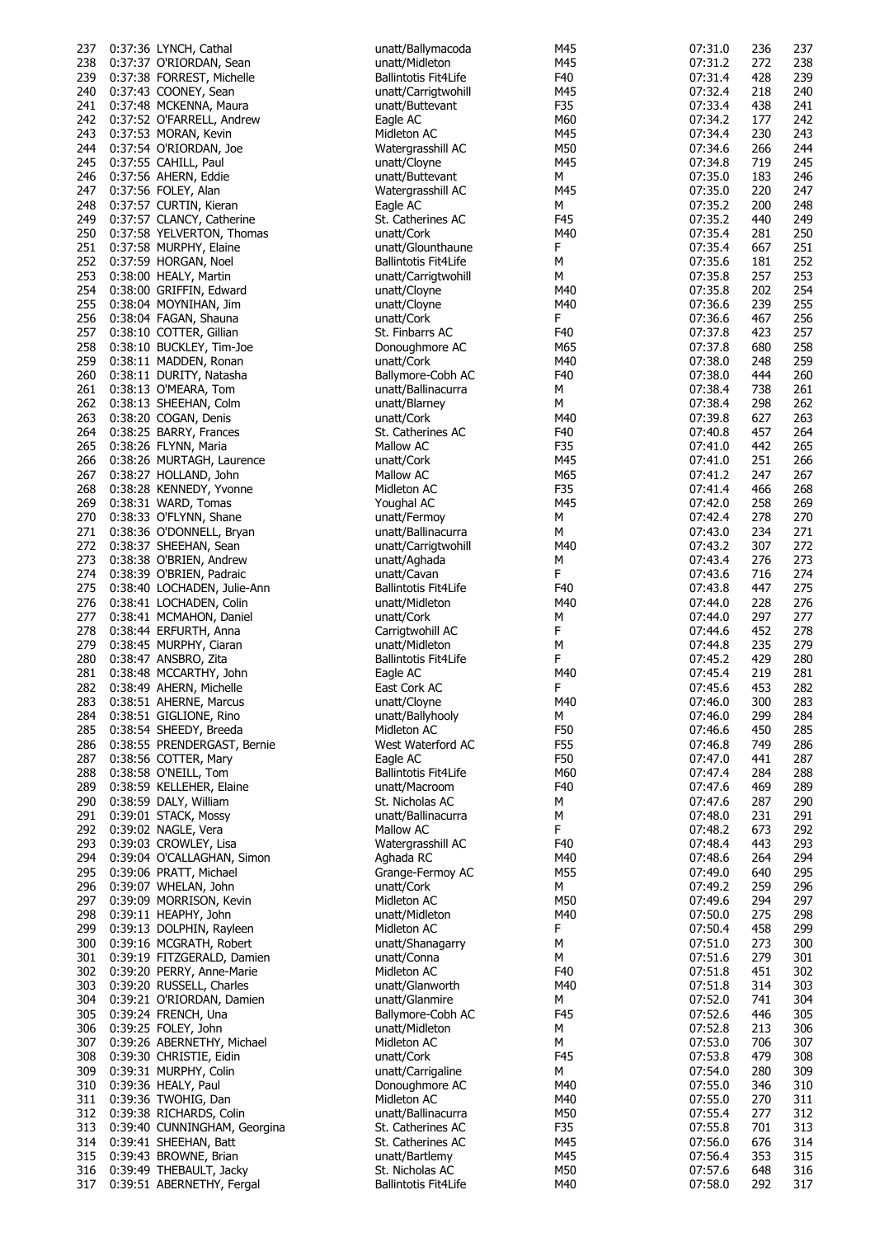| 237        | 0:37:36 LYNCH, Cathal                                | unatt/Ballymacoda                              | M45        | 07:31.0            | 236        | 237        |
|------------|------------------------------------------------------|------------------------------------------------|------------|--------------------|------------|------------|
|            |                                                      |                                                |            |                    |            |            |
| 238        | 0:37:37 O'RIORDAN, Sean                              | unatt/Midleton                                 | M45        | 07:31.2            | 272        | 238        |
| 239        | 0:37:38 FORREST, Michelle                            | <b>Ballintotis Fit4Life</b>                    | F40        | 07:31.4            | 428        | 239        |
| 240        | 0:37:43 COONEY, Sean                                 | unatt/Carrigtwohill                            | M45        | 07:32.4            | 218        | 240        |
|            |                                                      |                                                |            |                    |            |            |
| 241        | 0:37:48 MCKENNA, Maura                               | unatt/Buttevant                                | F35        | 07:33.4            | 438        | 241        |
| 242        | 0:37:52 O'FARRELL, Andrew                            | Eagle AC                                       | M60        | 07:34.2            | 177        | 242        |
| 243        | 0:37:53 MORAN, Kevin                                 | Midleton AC                                    | M45        | 07:34.4            | 230        | 243        |
|            |                                                      |                                                |            |                    |            |            |
| 244        | 0:37:54 O'RIORDAN, Joe                               | Watergrasshill AC                              | M50        | 07:34.6            | 266        | 244        |
| 245        | 0:37:55 CAHILL, Paul                                 | unatt/Cloyne                                   | M45        | 07:34.8            | 719        | 245        |
|            |                                                      |                                                |            |                    |            |            |
| 246        | 0:37:56 AHERN, Eddie                                 | unatt/Buttevant                                | М          | 07:35.0            | 183        | 246        |
| 247        | 0:37:56 FOLEY, Alan                                  | Watergrasshill AC                              | M45        | 07:35.0            | 220        | 247        |
| 248        | 0:37:57 CURTIN, Kieran                               | Eagle AC                                       | М          | 07:35.2            | 200        | 248        |
|            |                                                      |                                                |            |                    |            |            |
| 249        | 0:37:57 CLANCY, Catherine                            | St. Catherines AC                              | F45        | 07:35.2            | 440        | 249        |
| 250        | 0:37:58 YELVERTON, Thomas                            | unatt/Cork                                     | M40        | 07:35.4            | 281        | 250        |
| 251        | 0:37:58 MURPHY, Elaine                               | unatt/Glounthaune                              | F          | 07:35.4            | 667        | 251        |
|            |                                                      |                                                |            |                    |            |            |
| 252        | 0:37:59 HORGAN, Noel                                 | <b>Ballintotis Fit4Life</b>                    | М          | 07:35.6            | 181        | 252        |
| 253        | 0:38:00 HEALY, Martin                                | unatt/Carrigtwohill                            | М          | 07:35.8            | 257        | 253        |
| 254        | 0:38:00 GRIFFIN, Edward                              | unatt/Cloyne                                   | M40        | 07:35.8            | 202        | 254        |
|            |                                                      |                                                |            |                    |            |            |
| 255        | 0:38:04 MOYNIHAN, Jim                                | unatt/Cloyne                                   | M40        | 07:36.6            | 239        | 255        |
| 256        | 0:38:04 FAGAN, Shauna                                | unatt/Cork                                     | F          | 07:36.6            | 467        | 256        |
| 257        | 0:38:10 COTTER, Gillian                              | St. Finbarrs AC                                | F40        | 07:37.8            | 423        | 257        |
|            |                                                      |                                                |            |                    |            |            |
| 258        | 0:38:10 BUCKLEY, Tim-Joe                             | Donoughmore AC                                 | M65        | 07:37.8            | 680        | 258        |
| 259        | 0:38:11 MADDEN, Ronan                                | unatt/Cork                                     | M40        | 07:38.0            | 248        | 259        |
| 260        | 0:38:11 DURITY, Natasha                              | Ballymore-Cobh AC                              | F40        | 07:38.0            | 444        | 260        |
|            |                                                      |                                                |            |                    |            |            |
| 261        | 0:38:13 O'MEARA, Tom                                 | unatt/Ballinacurra                             | М          | 07:38.4            | 738        | 261        |
| 262        | 0:38:13 SHEEHAN, Colm                                | unatt/Blarney                                  | М          | 07:38.4            | 298        | 262        |
| 263        | 0:38:20 COGAN, Denis                                 | unatt/Cork                                     | M40        | 07:39.8            | 627        | 263        |
|            |                                                      |                                                |            |                    |            |            |
| 264        | 0:38:25 BARRY, Frances                               | St. Catherines AC                              | F40        | 07:40.8            | 457        | 264        |
| 265        | 0:38:26 FLYNN, Maria                                 | Mallow AC                                      | F35        | 07:41.0            | 442        | 265        |
| 266        | 0:38:26 MURTAGH, Laurence                            | unatt/Cork                                     | M45        | 07:41.0            | 251        | 266        |
|            |                                                      |                                                |            |                    |            |            |
| 267        | 0:38:27 HOLLAND, John                                | Mallow AC                                      | M65        | 07:41.2            | 247        | 267        |
| 268        | 0:38:28 KENNEDY, Yvonne                              | Midleton AC                                    | F35        | 07:41.4            | 466        | 268        |
| 269        | 0:38:31 WARD, Tomas                                  | Youghal AC                                     | M45        | 07:42.0            | 258        | 269        |
|            |                                                      |                                                |            |                    |            |            |
| 270        | 0:38:33 O'FLYNN, Shane                               | unatt/Fermoy                                   | М          | 07:42.4            | 278        | 270        |
| 271        | 0:38:36 O'DONNELL, Bryan                             | unatt/Ballinacurra                             | М          | 07:43.0            | 234        | 271        |
| 272        | 0:38:37 SHEEHAN, Sean                                | unatt/Carrigtwohill                            | M40        | 07:43.2            | 307        | 272        |
|            |                                                      |                                                |            |                    |            |            |
| 273        | 0:38:38 O'BRIEN, Andrew                              | unatt/Aghada                                   | М          | 07:43.4            | 276        | 273        |
| 274        | 0:38:39 O'BRIEN, Padraic                             | unatt/Cavan                                    | F          | 07:43.6            | 716        | 274        |
|            |                                                      |                                                | F40        |                    |            | 275        |
| 275        | 0:38:40 LOCHADEN, Julie-Ann                          | <b>Ballintotis Fit4Life</b>                    |            | 07:43.8            | 447        |            |
| 276        | 0:38:41 LOCHADEN, Colin                              | unatt/Midleton                                 | M40        | 07:44.0            | 228        | 276        |
| 277        | 0:38:41 MCMAHON, Daniel                              | unatt/Cork                                     | М          | 07:44.0            | 297        | 277        |
|            |                                                      |                                                |            |                    |            |            |
| 278        | 0:38:44 ERFURTH, Anna                                | Carrigtwohill AC                               | F          | 07:44.6            | 452        | 278        |
| 279        | 0:38:45 MURPHY, Ciaran                               | unatt/Midleton                                 | М          | 07:44.8            | 235        | 279        |
| 280        | 0:38:47 ANSBRO, Zita                                 | Ballintotis Fit4Life                           | F          | 07:45.2            | 429        | 280        |
|            |                                                      |                                                |            |                    |            |            |
| 281        | 0:38:48 MCCARTHY, John                               | Eagle AC                                       | M40        | 07:45.4            | 219        | 281        |
| 282        | 0:38:49 AHERN, Michelle                              | East Cork AC                                   | F          | 07:45.6            | 453        | 282        |
|            | 283 0:38:51 AHERNE, Marcus                           | unatt/Cloyne                                   | M40        | 07:46.0            | 300        | 283        |
|            |                                                      |                                                |            |                    |            |            |
| 284        | 0:38:51 GIGLIONE, Rino                               | unatt/Ballyhooly                               | М          | 07:46.0            | 299        | 284        |
| 285        | 0:38:54 SHEEDY, Breeda                               | Midleton AC                                    | F50        | 07:46.6            | 450        | 285        |
| 286        | 0:38:55 PRENDERGAST, Bernie                          | West Waterford AC                              | F55        | 07:46.8            | 749        | 286        |
|            |                                                      |                                                |            |                    |            |            |
| 287        | 0:38:56 COTTER, Mary                                 | Eagle AC                                       | F50        | 07:47.0            | 441        | 287        |
| 288        | 0:38:58 O'NEILL, Tom                                 | <b>Ballintotis Fit4Life</b>                    | M60        | 07:47.4            | 284        | 288        |
| 289        | 0:38:59 KELLEHER, Elaine                             | unatt/Macroom                                  | F40        | 07:47.6            | 469        | 289        |
|            |                                                      |                                                |            |                    |            |            |
| 290        | 0:38:59 DALY, William                                | St. Nicholas AC                                | М          | 07:47.6            | 287        | 290        |
| 291        | 0:39:01 STACK, Mossy                                 | unatt/Ballinacurra                             | М          | 07:48.0            | 231        | 291        |
| 292        | 0:39:02 NAGLE, Vera                                  | Mallow AC                                      | F.         | 07:48.2            | 673        | 292        |
|            |                                                      |                                                |            |                    |            |            |
| 293        | 0:39:03 CROWLEY, Lisa                                | Watergrasshill AC                              | F40        | 07:48.4            | 443        | 293        |
| 294        | 0:39:04 O'CALLAGHAN, Simon                           | Aghada RC                                      | M40        | 07:48.6            | 264        | 294        |
| 295        | 0:39:06 PRATT, Michael                               | Grange-Fermoy AC                               | M55        | 07:49.0            | 640        | 295        |
|            | 0:39:07 WHELAN, John                                 | unatt/Cork                                     |            |                    | 259        |            |
| 296        |                                                      |                                                | М          | 07:49.2            |            | 296        |
| 297        | 0:39:09 MORRISON, Kevin                              | Midleton AC                                    | M50        | 07:49.6            | 294        | 297        |
| 298        | 0:39:11 HEAPHY, John                                 | unatt/Midleton                                 | M40        | 07:50.0            | 275        | 298        |
|            |                                                      |                                                |            |                    |            |            |
| 299        | 0:39:13 DOLPHIN, Rayleen                             | Midleton AC                                    | F          | 07:50.4            | 458        | 299        |
| 300        | 0:39:16 MCGRATH, Robert                              | unatt/Shanagarry                               | М          | 07:51.0            | 273        | 300        |
| 301        | 0:39:19 FITZGERALD, Damien                           | unatt/Conna                                    | М          | 07:51.6            | 279        | 301        |
|            |                                                      |                                                |            |                    |            |            |
| 302        | 0:39:20 PERRY, Anne-Marie                            | Midleton AC                                    | F40        | 07:51.8            | 451        | 302        |
| 303        | 0:39:20 RUSSELL, Charles                             | unatt/Glanworth                                | M40        | 07:51.8            | 314        | 303        |
| 304        | 0:39:21 O'RIORDAN, Damien                            | unatt/Glanmire                                 | М          | 07:52.0            | 741        | 304        |
|            |                                                      |                                                |            |                    |            |            |
| 305        | 0:39:24 FRENCH, Una                                  | Ballymore-Cobh AC                              | F45        | 07:52.6            | 446        | 305        |
| 306        | 0:39:25 FOLEY, John                                  | unatt/Midleton                                 | м          | 07:52.8            | 213        | 306        |
| 307        | 0:39:26 ABERNETHY, Michael                           | Midleton AC                                    | М          | 07:53.0            | 706        | 307        |
|            |                                                      |                                                |            |                    |            |            |
| 308        | 0:39:30 CHRISTIE, Eidin                              | unatt/Cork                                     | F45        | 07:53.8            | 479        | 308        |
| 309        | 0:39:31 MURPHY, Colin                                | unatt/Carrigaline                              | М          | 07:54.0            | 280        | 309        |
| 310        | 0:39:36 HEALY, Paul                                  | Donoughmore AC                                 | M40        | 07:55.0            | 346        | 310        |
|            |                                                      |                                                |            |                    |            |            |
| 311        | 0:39:36 TWOHIG, Dan                                  | Midleton AC                                    | M40        | 07:55.0            | 270        | 311        |
| 312        | 0:39:38 RICHARDS, Colin                              | unatt/Ballinacurra                             | M50        | 07:55.4            | 277        | 312        |
|            |                                                      |                                                |            |                    |            |            |
|            |                                                      |                                                |            |                    |            |            |
| 313        | 0:39:40 CUNNINGHAM, Georgina                         | St. Catherines AC                              | F35        | 07:55.8            | 701        | 313        |
| 314        | 0:39:41 SHEEHAN, Batt                                | St. Catherines AC                              | M45        | 07:56.0            | 676        | 314        |
| 315        | 0:39:43 BROWNE, Brian                                | unatt/Bartlemy                                 | M45        | 07:56.4            | 353        | 315        |
|            |                                                      |                                                |            |                    |            |            |
| 316<br>317 | 0:39:49 THEBAULT, Jacky<br>0:39:51 ABERNETHY, Fergal | St. Nicholas AC<br><b>Ballintotis Fit4Life</b> | M50<br>M40 | 07:57.6<br>07:58.0 | 648<br>292 | 316<br>317 |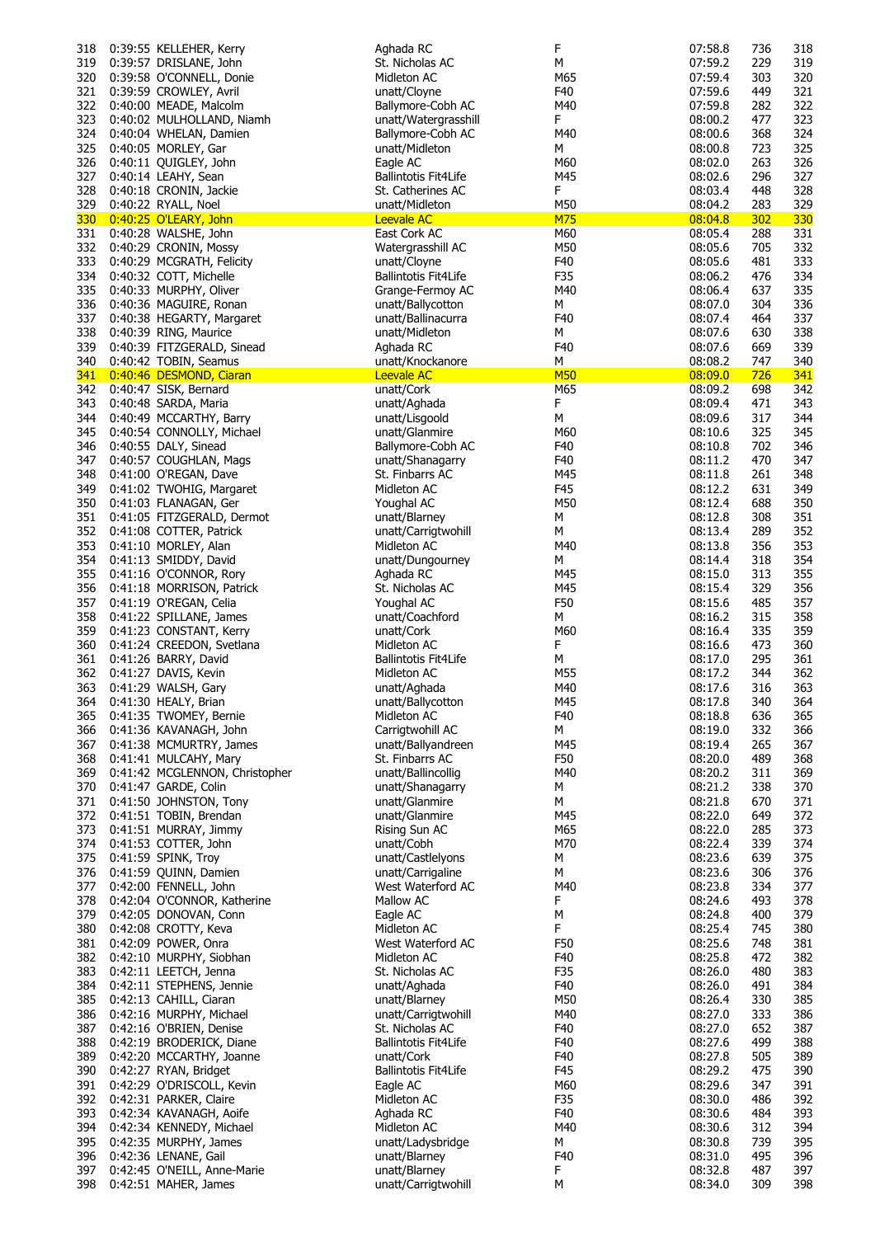| 318        | 0:39:55 KELLEHER, Kerry        | Aghada RC                   | F          | 07:58.8 | 736 | 318        |
|------------|--------------------------------|-----------------------------|------------|---------|-----|------------|
| 319        | 0:39:57 DRISLANE, John         | St. Nicholas AC             | м          | 07:59.2 | 229 | 319        |
| 320        | 0:39:58 O'CONNELL, Donie       | Midleton AC                 | M65        | 07:59.4 | 303 | 320        |
| 321        | 0:39:59 CROWLEY, Avril         | unatt/Cloyne                | F40        | 07:59.6 | 449 | 321        |
| 322        | 0:40:00 MEADE, Malcolm         | Ballymore-Cobh AC           | M40        | 07:59.8 | 282 | 322        |
| 323        | 0:40:02 MULHOLLAND, Niamh      | unatt/Watergrasshill        | F          | 08:00.2 | 477 | 323        |
| 324        | 0:40:04 WHELAN, Damien         | Ballymore-Cobh AC           | M40        | 08:00.6 | 368 | 324        |
| 325        | 0:40:05 MORLEY, Gar            | unatt/Midleton              | M          | 08:00.8 | 723 | 325        |
| 326        | 0:40:11 QUIGLEY, John          | Eagle AC                    | M60        | 08:02.0 | 263 | 326        |
| 327        |                                | <b>Ballintotis Fit4Life</b> | M45        | 08:02.6 | 296 | 327        |
|            | 0:40:14 LEAHY, Sean            |                             |            |         |     |            |
| 328        | 0:40:18 CRONIN, Jackie         | St. Catherines AC           | F          | 08:03.4 | 448 | 328        |
| 329        | 0:40:22 RYALL, Noel            | unatt/Midleton              | M50        | 08:04.2 | 283 | 329        |
| <b>330</b> | 0:40:25 O'LEARY, John          | <b>Leevale AC</b>           | M75        | 08:04.8 | 302 | <b>330</b> |
| 331        | 0:40:28 WALSHE, John           | East Cork AC                | M60        | 08:05.4 | 288 | 331        |
| 332        | 0:40:29 CRONIN, Mossy          | Watergrasshill AC           | M50        | 08:05.6 | 705 | 332        |
| 333        | 0:40:29 MCGRATH, Felicity      | unatt/Cloyne                | F40        | 08:05.6 | 481 | 333        |
| 334        | 0:40:32 COTT, Michelle         | <b>Ballintotis Fit4Life</b> | F35        | 08:06.2 | 476 | 334        |
| 335        | 0:40:33 MURPHY, Oliver         | Grange-Fermoy AC            | M40        | 08:06.4 | 637 | 335        |
| 336        | 0:40:36 MAGUIRE, Ronan         | unatt/Ballycotton           | М          | 08:07.0 | 304 | 336        |
| 337        | 0:40:38 HEGARTY, Margaret      | unatt/Ballinacurra          | F40        | 08:07.4 | 464 | 337        |
| 338        | 0:40:39 RING, Maurice          | unatt/Midleton              | М          | 08:07.6 | 630 | 338        |
|            |                                |                             | F40        |         | 669 |            |
| 339        | 0:40:39 FITZGERALD, Sinead     | Aghada RC                   |            | 08:07.6 |     | 339        |
| 340        | 0:40:42 TOBIN, Seamus          | unatt/Knockanore            | М          | 08:08.2 | 747 | 340        |
| 341        | 0:40:46 DESMOND, Ciaran        | <b>Leevale AC</b>           | <b>M50</b> | 08:09.0 | 726 | 341        |
| 342        | 0:40:47 SISK, Bernard          | unatt/Cork                  | M65        | 08:09.2 | 698 | 342        |
| 343        | 0:40:48 SARDA, Maria           | unatt/Aghada                | F          | 08:09.4 | 471 | 343        |
| 344        | 0:40:49 MCCARTHY, Barry        | unatt/Lisgoold              | М          | 08:09.6 | 317 | 344        |
| 345        | 0:40:54 CONNOLLY, Michael      | unatt/Glanmire              | M60        | 08:10.6 | 325 | 345        |
| 346        | 0:40:55 DALY, Sinead           | Ballymore-Cobh AC           | F40        | 08:10.8 | 702 | 346        |
| 347        | 0:40:57 COUGHLAN, Mags         | unatt/Shanagarry            | F40        | 08:11.2 | 470 | 347        |
| 348        | 0:41:00 O'REGAN, Dave          | St. Finbarrs AC             | M45        | 08:11.8 | 261 | 348        |
| 349        | 0:41:02 TWOHIG, Margaret       | Midleton AC                 | F45        | 08:12.2 | 631 | 349        |
| 350        | 0:41:03 FLANAGAN, Ger          | Youghal AC                  | M50        | 08:12.4 | 688 | 350        |
|            |                                |                             |            |         |     |            |
| 351        | 0:41:05 FITZGERALD, Dermot     | unatt/Blarney               | М          | 08:12.8 | 308 | 351        |
| 352        | 0:41:08 COTTER, Patrick        | unatt/Carrigtwohill         | М          | 08:13.4 | 289 | 352        |
| 353        | 0:41:10 MORLEY, Alan           | Midleton AC                 | M40        | 08:13.8 | 356 | 353        |
| 354        | 0:41:13 SMIDDY, David          | unatt/Dungourney            | М          | 08:14.4 | 318 | 354        |
| 355        | 0:41:16 O'CONNOR, Rory         | Aghada RC                   | M45        | 08:15.0 | 313 | 355        |
| 356        | 0:41:18 MORRISON, Patrick      | St. Nicholas AC             | M45        | 08:15.4 | 329 | 356        |
| 357        | 0:41:19 O'REGAN, Celia         | Youghal AC                  | F50        | 08:15.6 | 485 | 357        |
| 358        | 0:41:22 SPILLANE, James        | unatt/Coachford             | М          | 08:16.2 | 315 | 358        |
| 359        | 0:41:23 CONSTANT, Kerry        | unatt/Cork                  | M60        | 08:16.4 | 335 | 359        |
| 360        | 0:41:24 CREEDON, Svetlana      | Midleton AC                 | F          | 08:16.6 | 473 | 360        |
| 361        | 0:41:26 BARRY, David           | <b>Ballintotis Fit4Life</b> | М          | 08:17.0 | 295 | 361        |
| 362        | 0:41:27 DAVIS, Kevin           | Midleton AC                 | M55        | 08:17.2 | 344 | 362        |
|            | 0:41:29 WALSH, Gary            |                             |            |         |     |            |
| 363        |                                | unatt/Aghada                | M40        | 08:17.6 | 316 | 363        |
|            | 364 0:41:30 HEALY, Brian       | unatt/Ballycotton           | M45        | 08:17.8 | 340 | 364        |
| 365        | 0:41:35 TWOMEY, Bernie         | Midleton AC                 | F40        | 08:18.8 | 636 | 365        |
| 366        | 0:41:36 KAVANAGH, John         | Carrigtwohill AC            | М          | 08:19.0 | 332 | 366        |
| 367        | 0:41:38 MCMURTRY, James        | unatt/Ballyandreen          | M45        | 08:19.4 | 265 | 367        |
| 368        | 0:41:41 MULCAHY, Mary          | St. Finbarrs AC             | F50        | 08:20.0 | 489 | 368        |
| 369        | 0:41:42 MCGLENNON, Christopher | unatt/Ballincollig          | M40        | 08:20.2 | 311 | 369        |
| 370        | 0:41:47 GARDE, Colin           | unatt/Shanagarry            | М          | 08:21.2 | 338 | 370        |
| 371        | 0:41:50 JOHNSTON, Tony         | unatt/Glanmire              | М          | 08:21.8 | 670 | 371        |
| 372        | 0:41:51 TOBIN, Brendan         | unatt/Glanmire              | M45        | 08:22.0 | 649 | 372        |
| 373        | 0:41:51 MURRAY, Jimmy          | Rising Sun AC               | M65        | 08:22.0 | 285 | 373        |
| 374        | 0:41:53 COTTER, John           | unatt/Cobh                  | M70        | 08:22.4 | 339 | 374        |
| 375        | 0:41:59 SPINK, Troy            | unatt/Castlelyons           | М          | 08:23.6 | 639 | 375        |
| 376        | 0:41:59 QUINN, Damien          | unatt/Carrigaline           | М          | 08:23.6 | 306 | 376        |
| 377        | 0:42:00 FENNELL, John          | West Waterford AC           | M40        | 08:23.8 | 334 | 377        |
|            |                                |                             |            |         |     |            |
| 378        | 0:42:04 O'CONNOR, Katherine    | Mallow AC                   | F          | 08:24.6 | 493 | 378        |
| 379        | 0:42:05 DONOVAN, Conn          | Eagle AC                    | М          | 08:24.8 | 400 | 379        |
| 380        | 0:42:08 CROTTY, Keva           | Midleton AC                 | F          | 08:25.4 | 745 | 380        |
| 381        | 0:42:09 POWER, Onra            | West Waterford AC           | F50        | 08:25.6 | 748 | 381        |
| 382        | 0:42:10 MURPHY, Siobhan        | Midleton AC                 | F40        | 08:25.8 | 472 | 382        |
| 383        | 0:42:11 LEETCH, Jenna          | St. Nicholas AC             | F35        | 08:26.0 | 480 | 383        |
| 384        | 0:42:11 STEPHENS, Jennie       | unatt/Aghada                | F40        | 08:26.0 | 491 | 384        |
| 385        | 0:42:13 CAHILL, Ciaran         | unatt/Blarney               | M50        | 08:26.4 | 330 | 385        |
| 386        | 0:42:16 MURPHY, Michael        | unatt/Carrigtwohill         | M40        | 08:27.0 | 333 | 386        |
| 387        | 0:42:16 O'BRIEN, Denise        | St. Nicholas AC             | F40        | 08:27.0 | 652 | 387        |
| 388        | 0:42:19 BRODERICK, Diane       | <b>Ballintotis Fit4Life</b> | F40        | 08:27.6 | 499 | 388        |
| 389        | 0:42:20 MCCARTHY, Joanne       | unatt/Cork                  | F40        | 08:27.8 | 505 | 389        |
| 390        |                                | <b>Ballintotis Fit4Life</b> | F45        | 08:29.2 | 475 | 390        |
|            | 0:42:27 RYAN, Bridget          |                             |            |         |     |            |
| 391        | 0:42:29 O'DRISCOLL, Kevin      | Eagle AC                    | M60        | 08:29.6 | 347 | 391        |
| 392        | 0:42:31 PARKER, Claire         | Midleton AC                 | F35        | 08:30.0 | 486 | 392        |
| 393        | 0:42:34 KAVANAGH, Aoife        | Aghada RC                   | F40        | 08:30.6 | 484 | 393        |
| 394        | 0:42:34 KENNEDY, Michael       | Midleton AC                 | M40        | 08:30.6 | 312 | 394        |
| 395        | 0:42:35 MURPHY, James          | unatt/Ladysbridge           | М          | 08:30.8 | 739 | 395        |
| 396        | 0:42:36 LENANE, Gail           | unatt/Blarney               | F40        | 08:31.0 | 495 | 396        |
| 397        | 0:42:45 O'NEILL, Anne-Marie    | unatt/Blarney               | F          | 08:32.8 | 487 | 397        |
| 398        | 0:42:51 MAHER, James           | unatt/Carrigtwohill         | м          | 08:34.0 | 309 | 398        |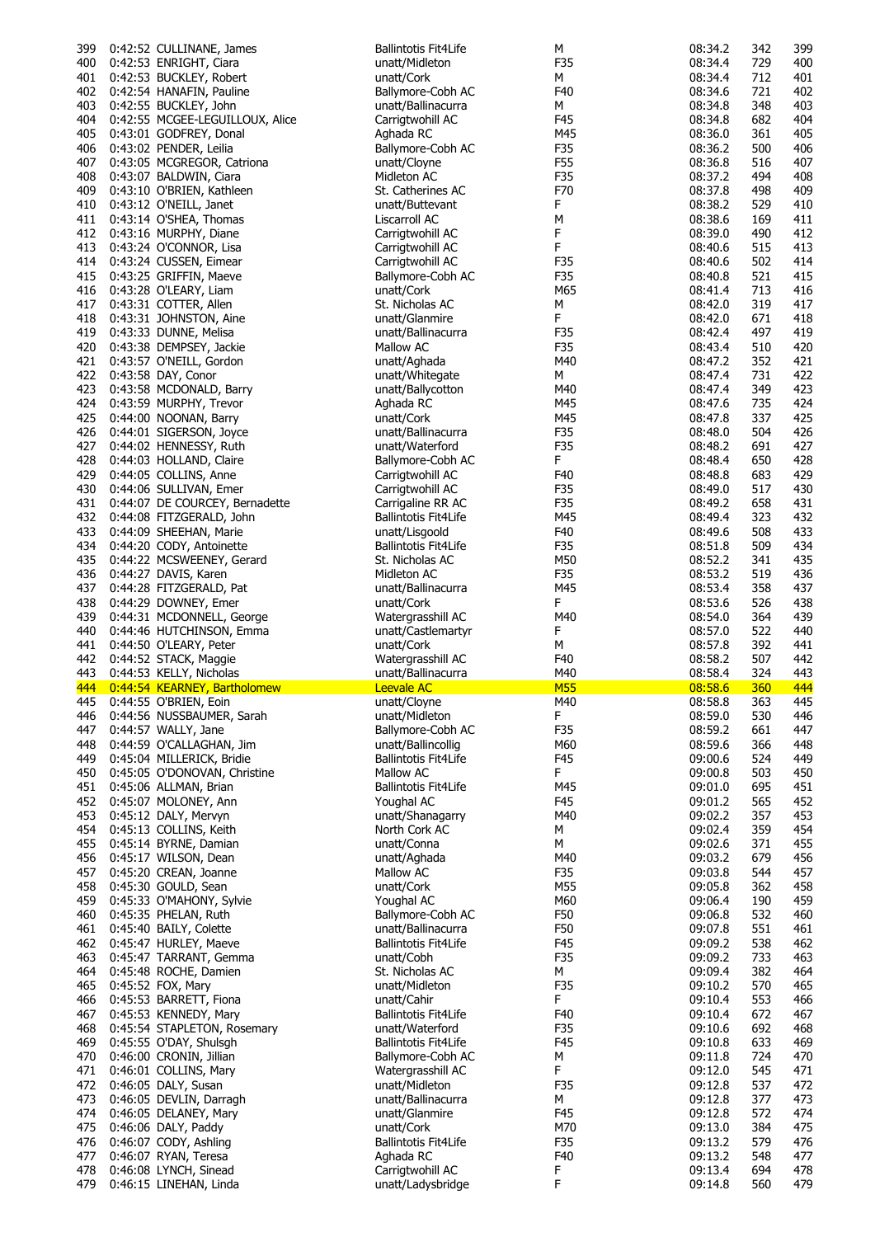| 399              | 0:42:52 CULLINANE, James                        | <b>Ballintotis Fit4Life</b>           | М          | 08:34.2            | 342        | 399        |
|------------------|-------------------------------------------------|---------------------------------------|------------|--------------------|------------|------------|
| 400              | 0:42:53 ENRIGHT, Ciara                          | unatt/Midleton                        | F35        | 08:34.4            | 729        | 400        |
| 401              | 0:42:53 BUCKLEY, Robert                         | unatt/Cork                            | М          | 08:34.4            | 712        | 401        |
| 402              | 0:42:54 HANAFIN, Pauline                        | Ballymore-Cobh AC                     | F40        | 08:34.6            | 721        | 402        |
| 403              | 0:42:55 BUCKLEY, John                           | unatt/Ballinacurra                    | М          | 08:34.8            | 348        | 403        |
| 404              | 0:42:55 MCGEE-LEGUILLOUX, Alice                 | Carrigtwohill AC                      | F45        | 08:34.8            | 682        | 404        |
| 405              | 0:43:01 GODFREY, Donal                          | Aghada RC                             | M45        | 08:36.0            | 361        | 405        |
| 406              | 0:43:02 PENDER, Leilia                          | Ballymore-Cobh AC                     | F35        | 08:36.2            | 500        | 406        |
| 407              | 0:43:05 MCGREGOR, Catriona                      | unatt/Cloyne                          | F55        | 08:36.8            | 516        | 407        |
|                  |                                                 |                                       | F35        | 08:37.2            | 494        | 408        |
| 408              | 0:43:07 BALDWIN, Ciara                          | Midleton AC                           |            |                    |            |            |
| 409              | 0:43:10 O'BRIEN, Kathleen                       | St. Catherines AC                     | F70        | 08:37.8            | 498        | 409        |
| 410              | 0:43:12 O'NEILL, Janet                          | unatt/Buttevant                       | F          | 08:38.2            | 529        | 410        |
| 411              | 0:43:14 O'SHEA, Thomas                          | Liscarroll AC                         | М          | 08:38.6            | 169        | 411        |
| 412              | 0:43:16 MURPHY, Diane                           | Carrigtwohill AC                      | F          | 08:39.0            | 490        | 412        |
| 413              | 0:43:24 O'CONNOR, Lisa                          | Carrigtwohill AC                      | F          | 08:40.6            | 515        | 413        |
| 414              | 0:43:24 CUSSEN, Eimear                          | Carrigtwohill AC                      | F35        | 08:40.6            | 502        | 414        |
| 415              | 0:43:25 GRIFFIN, Maeve                          | Ballymore-Cobh AC                     | F35        | 08:40.8            | 521        | 415        |
| 416              | 0:43:28 O'LEARY, Liam                           | unatt/Cork                            | M65        | 08:41.4            | 713        | 416        |
| 417              | 0:43:31 COTTER, Allen                           | St. Nicholas AC                       | М          | 08:42.0            | 319        | 417        |
| 418              | 0:43:31 JOHNSTON, Aine                          | unatt/Glanmire                        | F          | 08:42.0            | 671        | 418        |
| 419              | 0:43:33 DUNNE, Melisa                           | unatt/Ballinacurra                    | F35        | 08:42.4            | 497        | 419        |
| 420              |                                                 | Mallow AC                             | F35        | 08:43.4            | 510        | 420        |
|                  | 0:43:38 DEMPSEY, Jackie                         |                                       |            |                    |            |            |
| 421              | 0:43:57 O'NEILL, Gordon                         | unatt/Aghada                          | M40        | 08:47.2            | 352        | 421        |
| 422              | 0:43:58 DAY, Conor                              | unatt/Whitegate                       | М          | 08:47.4            | 731        | 422        |
| 423              | 0:43:58 MCDONALD, Barry                         | unatt/Ballycotton                     | M40        | 08:47.4            | 349        | 423        |
| 424              | 0:43:59 MURPHY, Trevor                          | Aghada RC                             | M45        | 08:47.6            | 735        | 424        |
| 425              | 0:44:00 NOONAN, Barry                           | unatt/Cork                            | M45        | 08:47.8            | 337        | 425        |
| 426              | 0:44:01 SIGERSON, Joyce                         | unatt/Ballinacurra                    | F35        | 08:48.0            | 504        | 426        |
| 427              | 0:44:02 HENNESSY, Ruth                          | unatt/Waterford                       | F35        | 08:48.2            | 691        | 427        |
| 428              | 0:44:03 HOLLAND, Claire                         | Ballymore-Cobh AC                     | F.         | 08:48.4            | 650        | 428        |
| 429              | 0:44:05 COLLINS, Anne                           | Carrigtwohill AC                      | F40        | 08:48.8            | 683        | 429        |
| 430              | 0:44:06 SULLIVAN, Emer                          | Carrigtwohill AC                      | F35        | 08:49.0            | 517        | 430        |
| 431              | 0:44:07 DE COURCEY, Bernadette                  | Carrigaline RR AC                     | F35        | 08:49.2            | 658        | 431        |
| 432              | 0:44:08 FITZGERALD, John                        | <b>Ballintotis Fit4Life</b>           | M45        | 08:49.4            | 323        | 432        |
|                  |                                                 |                                       |            |                    |            |            |
| 433              | 0:44:09 SHEEHAN, Marie                          | unatt/Lisgoold                        | F40        | 08:49.6            | 508        | 433        |
| 434              | 0:44:20 CODY, Antoinette                        | Ballintotis Fit4Life                  | F35        | 08:51.8            | 509        | 434        |
| 435              | 0:44:22 MCSWEENEY, Gerard                       | St. Nicholas AC                       | M50        | 08:52.2            | 341        | 435        |
| 436              | 0:44:27 DAVIS, Karen                            | Midleton AC                           | F35        | 08:53.2            | 519        | 436        |
| 437              | 0:44:28 FITZGERALD, Pat                         | unatt/Ballinacurra                    | M45        | 08:53.4            | 358        | 437        |
| 438              | 0:44:29 DOWNEY, Emer                            | unatt/Cork                            | F.         | 08:53.6            | 526        | 438        |
|                  |                                                 |                                       |            |                    |            |            |
| 439              |                                                 | Watergrasshill AC                     | M40        | 08:54.0            | 364        | 439        |
|                  | 0:44:31 MCDONNELL, George                       |                                       |            |                    |            |            |
| 440              | 0:44:46 HUTCHINSON, Emma                        | unatt/Castlemartyr                    | F          | 08:57.0            | 522        | 440        |
| 441              | 0:44:50 O'LEARY, Peter                          | unatt/Cork                            | М          | 08:57.8            | 392        | 441        |
| 442              | 0:44:52 STACK, Maggie                           | Watergrasshill AC                     | F40        | 08:58.2            | 507        | 442        |
| 443              | 0:44:53 KELLY, Nicholas                         | unatt/Ballinacurra                    | M40        | 08:58.4            | 324        | 443        |
| <mark>444</mark> | 0:44:54 KEARNEY, Bartholomew                    | <b>Leevale AC</b>                     | <b>M55</b> | 08:58.6            | 360        | 444        |
|                  | 445 0:44:55 O'BRIEN, Eoin                       | unatt/Cloyne                          | M40        | 08:58.8            | 363        | 445        |
| 446              | 0:44:56 NUSSBAUMER, Sarah                       | unatt/Midleton                        | F          | 08:59.0            | 530        | 446        |
| 447              | 0:44:57 WALLY, Jane                             | Ballymore-Cobh AC                     | F35        | 08:59.2            | 661        | 447        |
| 448              | 0:44:59 O'CALLAGHAN, Jim                        | unatt/Ballincollig                    | M60        | 08:59.6            | 366        | 448        |
| 449              | 0:45:04 MILLERICK, Bridie                       | <b>Ballintotis Fit4Life</b>           | F45        | 09:00.6            | 524        | 449        |
| 450              | 0:45:05 O'DONOVAN, Christine                    | Mallow AC                             | F.         | 09:00.8            | 503        | 450        |
| 451              | 0:45:06 ALLMAN, Brian                           | <b>Ballintotis Fit4Life</b>           | M45        | 09:01.0            | 695        | 451        |
| 452              | 0:45:07 MOLONEY, Ann                            | Youghal AC                            | F45        | 09:01.2            | 565        | 452        |
| 453              | 0:45:12 DALY, Mervyn                            | unatt/Shanagarry                      | M40        | 09:02.2            | 357        | 453        |
| 454              | 0:45:13 COLLINS, Keith                          | North Cork AC                         | М          | 09:02.4            | 359        | 454        |
| 455              | 0:45:14 BYRNE, Damian                           | unatt/Conna                           | М          | 09:02.6            | 371        | 455        |
| 456              | 0:45:17 WILSON, Dean                            | unatt/Aghada                          | M40        | 09:03.2            | 679        | 456        |
|                  |                                                 |                                       |            |                    |            |            |
| 457              | 0:45:20 CREAN, Joanne                           | Mallow AC                             | F35        | 09:03.8            | 544        | 457        |
| 458              | 0:45:30 GOULD, Sean                             | unatt/Cork                            | M55        | 09:05.8            | 362        | 458        |
| 459              | 0:45:33 O'MAHONY, Sylvie                        | Youghal AC                            | M60        | 09:06.4            | 190        | 459        |
| 460              | 0:45:35 PHELAN, Ruth                            | Ballymore-Cobh AC                     | F50        | 09:06.8            | 532        | 460        |
| 461              | 0:45:40 BAILY, Colette                          | unatt/Ballinacurra                    | F50        | 09:07.8            | 551        | 461        |
| 462              | 0:45:47 HURLEY, Maeve                           | <b>Ballintotis Fit4Life</b>           | F45        | 09:09.2            | 538        | 462        |
| 463              | 0:45:47 TARRANT, Gemma                          | unatt/Cobh                            | F35        | 09:09.2            | 733        | 463        |
| 464              | 0:45:48 ROCHE, Damien                           | St. Nicholas AC                       | М          | 09:09.4            | 382        | 464        |
| 465              | 0:45:52 FOX, Mary                               | unatt/Midleton                        | F35        | 09:10.2            | 570        | 465        |
| 466              | 0:45:53 BARRETT, Fiona                          | unatt/Cahir                           | F.         | 09:10.4            | 553        | 466        |
| 467              | 0:45:53 KENNEDY, Mary                           | <b>Ballintotis Fit4Life</b>           | F40        | 09:10.4            | 672        | 467        |
| 468              | 0:45:54 STAPLETON, Rosemary                     | unatt/Waterford                       | F35        | 09:10.6            | 692        | 468        |
| 469              | 0:45:55 O'DAY, Shulsgh                          | <b>Ballintotis Fit4Life</b>           | F45        | 09:10.8            | 633        | 469        |
| 470              | 0:46:00 CRONIN, Jillian                         | Ballymore-Cobh AC                     | М          | 09:11.8            | 724        | 470        |
| 471              |                                                 | Watergrasshill AC                     | F.         | 09:12.0            | 545        | 471        |
|                  | 0:46:01 COLLINS, Mary                           | unatt/Midleton                        |            |                    |            |            |
| 472              | 0:46:05 DALY, Susan                             |                                       | F35        | 09:12.8            | 537        | 472        |
| 473              | 0:46:05 DEVLIN, Darragh                         | unatt/Ballinacurra                    | М          | 09:12.8            | 377        | 473        |
| 474              | 0:46:05 DELANEY, Mary                           | unatt/Glanmire                        | F45        | 09:12.8            | 572        | 474        |
| 475              | 0:46:06 DALY, Paddy                             | unatt/Cork                            | M70        | 09:13.0            | 384        | 475        |
| 476              | 0:46:07 CODY, Ashling                           | <b>Ballintotis Fit4Life</b>           | F35        | 09:13.2            | 579        | 476        |
| 477              | 0:46:07 RYAN, Teresa                            | Aghada RC                             | F40        | 09:13.2            | 548        | 477        |
| 478<br>479       | 0:46:08 LYNCH, Sinead<br>0:46:15 LINEHAN, Linda | Carrigtwohill AC<br>unatt/Ladysbridge | F<br>F     | 09:13.4<br>09:14.8 | 694<br>560 | 478<br>479 |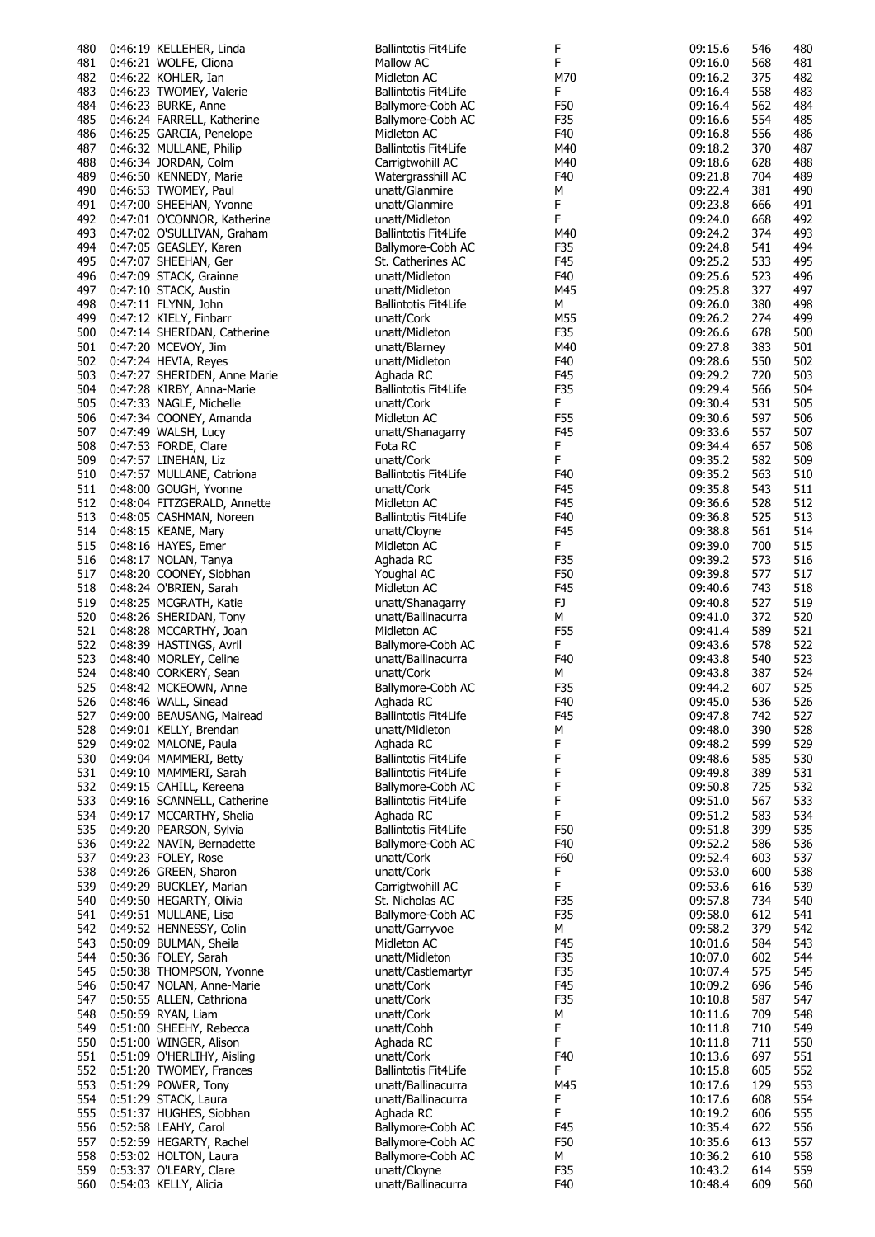| 480        | 0:46:19 KELLEHER, Linda                        | Ballintotis Fit4Life                  | F          | 09:15.6            | 546        | 480        |
|------------|------------------------------------------------|---------------------------------------|------------|--------------------|------------|------------|
| 481        | 0:46:21 WOLFE, Cliona                          | Mallow AC                             | F          | 09:16.0            | 568        | 481        |
| 482        | 0:46:22 KOHLER, Ian                            | Midleton AC                           | M70        | 09:16.2            | 375        | 482        |
| 483        | 0:46:23 TWOMEY, Valerie                        | Ballintotis Fit4Life                  | F.         | 09:16.4            | 558        | 483        |
| 484        | 0:46:23 BURKE, Anne                            | Ballymore-Cobh AC                     | F50        | 09:16.4            | 562        | 484        |
| 485        | 0:46:24 FARRELL, Katherine                     | Ballymore-Cobh AC                     | F35        | 09:16.6            | 554        | 485        |
| 486        | 0:46:25 GARCIA, Penelope                       | Midleton AC                           | F40        | 09:16.8            | 556        | 486        |
| 487        | 0:46:32 MULLANE, Philip                        | <b>Ballintotis Fit4Life</b>           | M40        | 09:18.2            | 370        | 487<br>488 |
| 488<br>489 | 0:46:34 JORDAN, Colm<br>0:46:50 KENNEDY, Marie | Carrigtwohill AC<br>Watergrasshill AC | M40<br>F40 | 09:18.6<br>09:21.8 | 628<br>704 | 489        |
| 490        | 0:46:53 TWOMEY, Paul                           | unatt/Glanmire                        | М          | 09:22.4            | 381        | 490        |
| 491        | 0:47:00 SHEEHAN, Yvonne                        | unatt/Glanmire                        | F          | 09:23.8            | 666        | 491        |
| 492        | 0:47:01 O'CONNOR, Katherine                    | unatt/Midleton                        | F.         | 09:24.0            | 668        | 492        |
| 493        | 0:47:02 O'SULLIVAN, Graham                     | Ballintotis Fit4Life                  | M40        | 09:24.2            | 374        | 493        |
| 494        | 0:47:05 GEASLEY, Karen                         | Ballymore-Cobh AC                     | F35        | 09:24.8            | 541        | 494        |
| 495        | 0:47:07 SHEEHAN, Ger                           | St. Catherines AC                     | F45        | 09:25.2            | 533        | 495        |
| 496        | 0:47:09 STACK, Grainne                         | unatt/Midleton                        | F40        | 09:25.6            | 523        | 496        |
| 497        | 0:47:10 STACK, Austin                          | unatt/Midleton                        | M45        | 09:25.8            | 327        | 497        |
| 498        | 0:47:11 FLYNN, John                            | <b>Ballintotis Fit4Life</b>           | М          | 09:26.0            | 380        | 498        |
| 499        | 0:47:12 KIELY, Finbarr                         | unatt/Cork                            | M55        | 09:26.2            | 274        | 499        |
| 500        | 0:47:14 SHERIDAN, Catherine                    | unatt/Midleton                        | F35        | 09:26.6            | 678        | 500        |
| 501        | 0:47:20 MCEVOY, Jim                            | unatt/Blarney                         | M40        | 09:27.8            | 383        | 501        |
| 502        | 0:47:24 HEVIA, Reyes                           | unatt/Midleton                        | F40        | 09:28.6            | 550        | 502        |
| 503        | 0:47:27 SHERIDEN, Anne Marie                   | Aghada RC                             | F45        | 09:29.2            | 720        | 503        |
| 504        | 0:47:28 KIRBY, Anna-Marie                      | <b>Ballintotis Fit4Life</b>           | F35        | 09:29.4            | 566        | 504        |
| 505        | 0:47:33 NAGLE, Michelle                        | unatt/Cork                            | F.         | 09:30.4            | 531        | 505        |
| 506        | 0:47:34 COONEY, Amanda                         | Midleton AC                           | F55        | 09:30.6            | 597        | 506        |
| 507        | 0:47:49 WALSH, Lucy                            | unatt/Shanagarry                      | F45        | 09:33.6            | 557        | 507        |
| 508        | 0:47:53 FORDE, Clare                           | Fota RC                               | F          | 09:34.4            | 657        | 508        |
| 509        | 0:47:57 LINEHAN, Liz                           | unatt/Cork                            | F          | 09:35.2            | 582        | 509        |
| 510        | 0:47:57 MULLANE, Catriona                      | <b>Ballintotis Fit4Life</b>           | F40        | 09:35.2            | 563        | 510        |
| 511        | 0:48:00 GOUGH, Yvonne                          | unatt/Cork                            | F45        | 09:35.8            | 543        | 511        |
| 512        | 0:48:04 FITZGERALD, Annette                    | Midleton AC                           | F45        | 09:36.6            | 528        | 512        |
| 513        | 0:48:05 CASHMAN, Noreen                        | <b>Ballintotis Fit4Life</b>           | F40        | 09:36.8            | 525        | 513        |
| 514        | 0:48:15 KEANE, Mary                            | unatt/Cloyne                          | F45        | 09:38.8            | 561        | 514        |
| 515        | 0:48:16 HAYES, Emer                            | Midleton AC                           | F.         | 09:39.0            | 700        | 515        |
| 516        | 0:48:17 NOLAN, Tanya                           | Aghada RC                             | F35        | 09:39.2            | 573        | 516        |
| 517        | 0:48:20 COONEY, Siobhan                        | Youghal AC                            | F50        | 09:39.8            | 577        | 517        |
| 518        | 0:48:24 O'BRIEN, Sarah                         | Midleton AC                           | F45        | 09:40.6            | 743        | 518        |
| 519        | 0:48:25 MCGRATH, Katie                         | unatt/Shanagarry                      | FJ.        | 09:40.8            | 527        | 519        |
| 520        | 0:48:26 SHERIDAN, Tony                         | unatt/Ballinacurra                    | М          | 09:41.0            | 372        | 520        |
| 521        | 0:48:28 MCCARTHY, Joan                         | Midleton AC                           | F55        | 09:41.4            | 589        | 521        |
| 522        | 0:48:39 HASTINGS, Avril                        | Ballymore-Cobh AC                     | F          | 09:43.6            | 578        | 522        |
| 523        | 0:48:40 MORLEY, Celine                         | unatt/Ballinacurra                    | F40        | 09:43.8            | 540        | 523        |
| 524        | 0:48:40 CORKERY, Sean                          | unatt/Cork                            | М          | 09:43.8            | 387        | 524        |
| 525        | 0:48:42 MCKEOWN, Anne                          | Ballymore-Cobh AC                     | F35        | 09:44.2            | 607        | 525        |
|            | 526 0:48:46 WALL, Sinead                       | Aghada RC                             | F40        | 09:45.0            | 536        | 526        |
| 527        | 0:49:00 BEAUSANG, Mairead                      | <b>Ballintotis Fit4Life</b>           | F45        | 09:47.8            | 742        | 527        |
| 528        | 0:49:01 KELLY, Brendan                         | unatt/Midleton                        | М          | 09:48.0            | 390        | 528        |
| 529        | 0:49:02 MALONE, Paula                          | Aghada RC                             | F          | 09:48.2            | 599        | 529        |
| 530        | 0:49:04 MAMMERI, Betty                         | Ballintotis Fit4Life                  | F          | 09:48.6            | 585        | 530        |
| 531        | 0:49:10 MAMMERI, Sarah                         | Ballintotis Fit4Life                  | F          | 09:49.8            | 389        | 531        |
| 532        | 0:49:15 CAHILL, Kereena                        | Ballymore-Cobh AC                     | F          | 09:50.8            | 725        | 532        |
| 533        | 0:49:16 SCANNELL, Catherine                    | <b>Ballintotis Fit4Life</b>           | F          | 09:51.0            | 567        | 533        |
| 534        | 0:49:17 MCCARTHY, Shelia                       | Aghada RC                             | F          | 09:51.2            | 583        | 534        |
| 535        | 0:49:20 PEARSON, Sylvia                        | Ballintotis Fit4Life                  | F50        | 09:51.8            | 399        | 535        |
| 536        | 0:49:22 NAVIN, Bernadette                      | Ballymore-Cobh AC                     | F40        | 09:52.2            | 586        | 536        |
| 537        | 0:49:23 FOLEY, Rose                            | unatt/Cork                            | F60        | 09:52.4            | 603        | 537        |
| 538        | 0:49:26 GREEN, Sharon                          | unatt/Cork                            | F          | 09:53.0            | 600        | 538        |
| 539        | 0:49:29 BUCKLEY, Marian                        | Carrigtwohill AC                      | F          | 09:53.6            | 616        | 539        |
| 540        | 0:49:50 HEGARTY, Olivia                        | St. Nicholas AC                       | F35        | 09:57.8            | 734        | 540        |
| 541        | 0:49:51 MULLANE, Lisa                          | Ballymore-Cobh AC                     | F35        | 09:58.0            | 612        | 541        |
| 542        | 0:49:52 HENNESSY, Colin                        | unatt/Garryvoe                        | м          | 09:58.2            | 379        | 542        |
| 543        | 0:50:09 BULMAN, Sheila                         | Midleton AC                           | F45        | 10:01.6            | 584        | 543        |
| 544        | 0:50:36 FOLEY, Sarah                           | unatt/Midleton                        | F35        | 10:07.0            | 602        | 544        |
| 545        | 0:50:38 THOMPSON, Yvonne                       | unatt/Castlemartyr                    | F35        | 10:07.4            | 575        | 545        |
| 546        | 0:50:47 NOLAN, Anne-Marie                      | unatt/Cork                            | F45        | 10:09.2            | 696        | 546        |
| 547        | 0:50:55 ALLEN, Cathriona                       | unatt/Cork                            | F35        | 10:10.8            | 587        | 547        |
| 548        | 0:50:59 RYAN, Liam                             | unatt/Cork                            | М          | 10:11.6            | 709        | 548        |
| 549        | 0:51:00 SHEEHY, Rebecca                        | unatt/Cobh                            | F          | 10:11.8            | 710        | 549        |
| 550        | 0:51:00 WINGER, Alison                         | Aghada RC                             | F          | 10:11.8            | 711        | 550        |
| 551        | 0:51:09 O'HERLIHY, Aisling                     | unatt/Cork                            | F40        | 10:13.6            | 697        | 551        |
| 552        | 0:51:20 TWOMEY, Frances                        | <b>Ballintotis Fit4Life</b>           | F          | 10:15.8            | 605        | 552        |
| 553        | 0:51:29 POWER, Tony                            | unatt/Ballinacurra                    | M45        | 10:17.6            | 129        | 553        |
| 554        | 0:51:29 STACK, Laura                           | unatt/Ballinacurra                    | F          | 10:17.6            | 608        | 554        |
| 555        | 0:51:37 HUGHES, Siobhan                        | Aghada RC                             | F          | 10:19.2            | 606        | 555        |
| 556        | 0:52:58 LEAHY, Carol                           | Ballymore-Cobh AC                     | F45        | 10:35.4            | 622        | 556        |
| 557        | 0:52:59 HEGARTY, Rachel                        | Ballymore-Cobh AC                     | F50        | 10:35.6            | 613        | 557        |
| 558        | 0:53:02 HOLTON, Laura                          | Ballymore-Cobh AC                     | М          | 10:36.2            | 610        | 558        |
| 559        | 0:53:37 O'LEARY, Clare                         | unatt/Cloyne                          | F35        | 10:43.2            | 614        | 559        |
| 560        | 0:54:03 KELLY, Alicia                          | unatt/Ballinacurra                    | F40        | 10:48.4            | 609        | 560        |